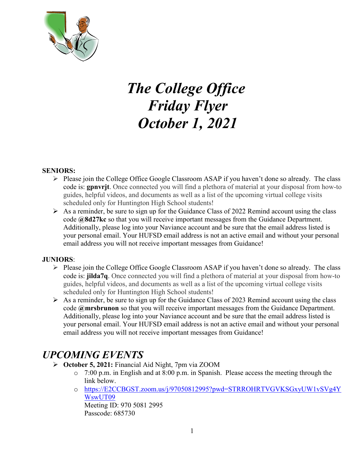

# *The College Office Friday Flyer October 1, 2021*

### **SENIORS:**

- $\triangleright$  Please join the College Office Google Classroom ASAP if you haven't done so already. The class code is: **gpnvrjt**. Once connected you will find a plethora of material at your disposal from how-to guides, helpful videos, and documents as well as a list of the upcoming virtual college visits scheduled only for Huntington High School students!
- $\triangleright$  As a reminder, be sure to sign up for the Guidance Class of 2022 Remind account using the class code **@8d27kc** so that you will receive important messages from the Guidance Department. Additionally, please log into your Naviance account and be sure that the email address listed is your personal email. Your HUFSD email address is not an active email and without your personal email address you will not receive important messages from Guidance!

#### **JUNIORS**:

- $\triangleright$  Please join the College Office Google Classroom ASAP if you haven't done so already. The class code is: **jilda7q**. Once connected you will find a plethora of material at your disposal from how-to guides, helpful videos, and documents as well as a list of the upcoming virtual college visits scheduled only for Huntington High School students!
- $\triangleright$  As a reminder, be sure to sign up for the Guidance Class of 2023 Remind account using the class code **@mrsbrunon** so that you will receive important messages from the Guidance Department. Additionally, please log into your Naviance account and be sure that the email address listed is your personal email. Your HUFSD email address is not an active email and without your personal email address you will not receive important messages from Guidance!

# *UPCOMING EVENTS*

- **October 5, 2021:** Financial Aid Night, 7pm via ZOOM
	- o 7:00 p.m. in English and at 8:00 p.m. in Spanish. Please access the meeting through the link below.
	- o [https://E2CCBGST.zoom.us/j/97050812995?pwd=STRROHRTVGVKSGxyUW1vSVg4Y](https://e2ccbgst.zoom.us/j/97050812995?pwd=STRROHRTVGVKSGxyUW1vSVg4YWswUT09) [WswUT09](https://e2ccbgst.zoom.us/j/97050812995?pwd=STRROHRTVGVKSGxyUW1vSVg4YWswUT09) Meeting ID: 970 5081 2995

Passcode: 685730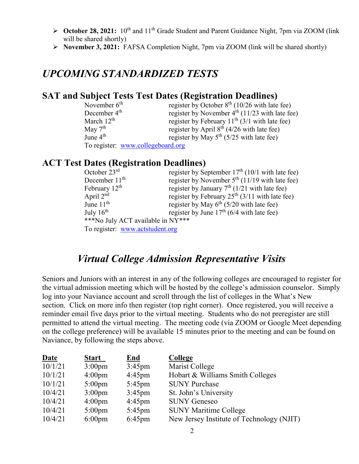- **Coctober 28, 2021:** 10<sup>th</sup> and 11<sup>th</sup> Grade Student and Parent Guidance Night, 7pm via ZOOM (link) will be shared shortly)
- **November 3, 2021:** FAFSA Completion Night, 7pm via ZOOM (link will be shared shortly)

# *UPCOMING STANDARDIZED TESTS*

# **SAT and Subject Tests Test Dates (Registration Deadlines)**

| November $6th$                    | register by October $8th$ (10/26 with late fee)  |
|-----------------------------------|--------------------------------------------------|
| December 4 <sup>th</sup>          | register by November $4th$ (11/23 with late fee) |
| March $12th$                      | register by February $11th$ (3/1 with late fee)  |
| May $7th$                         | register by April $8th$ (4/26 with late fee)     |
| June $4th$                        | register by May $5th$ (5/25 with late fee)       |
| To register: www.collegeboard.org |                                                  |

### **ACT Test Dates (Registration Deadlines)**

| October 23rd                      | register by September $17th$ (10/1 with late fee) |
|-----------------------------------|---------------------------------------------------|
| December $11th$                   | register by November $5th$ (11/19 with late fee)  |
| February $12th$                   | register by January $7th$ (1/21 with late fee)    |
| April $2nd$                       | register by February $25th$ (3/11 with late fee)  |
| June $11th$                       | register by May $6th$ (5/20 with late fee)        |
| July $16^{th}$                    | register by June $17th$ (6/4 with late fee)       |
| ***No July ACT available in NY*** |                                                   |
| To register: www.actstudent.org   |                                                   |

# *Virtual College Admission Representative Visits*

Seniors and Juniors with an interest in any of the following colleges are encouraged to register for the virtual admission meeting which will be hosted by the college's admission counselor. Simply log into your Naviance account and scroll through the list of colleges in the What's New section. Click on more info then register (top right corner). Once registered, you will receive a reminder email five days prior to the virtual meeting. Students who do not preregister are still permitted to attend the virtual meeting. The meeting code (via ZOOM or Google Meet depending on the college preference) will be available 15 minutes prior to the meeting and can be found on Naviance, by following the steps above.

| <b>Date</b> | <b>Start</b>     | <u>End</u>       | College                                   |
|-------------|------------------|------------------|-------------------------------------------|
| 10/1/21     | $3:00 \text{pm}$ | $3:45$ pm        | Marist College                            |
| 10/1/21     | $4:00 \text{pm}$ | $4:45$ pm        | Hobart & Williams Smith Colleges          |
| 10/1/21     | $5:00 \text{pm}$ | $5:45 \text{pm}$ | <b>SUNY Purchase</b>                      |
| 10/4/21     | $3:00 \text{pm}$ | $3:45$ pm        | St. John's University                     |
| 10/4/21     | $4:00 \text{pm}$ | $4:45$ pm        | <b>SUNY Geneseo</b>                       |
| 10/4/21     | $5:00 \text{pm}$ | $5:45 \text{pm}$ | <b>SUNY Maritime College</b>              |
| 10/4/21     | $6:00 \text{pm}$ | $6:45$ pm        | New Jersey Institute of Technology (NJIT) |
|             |                  |                  |                                           |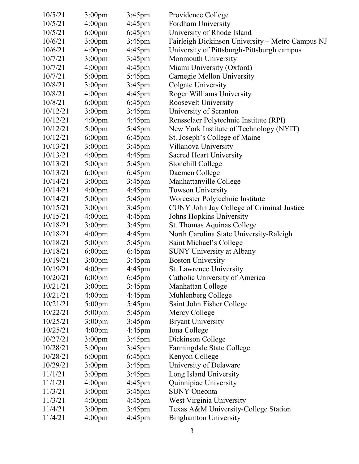| 10/5/21  | $3:00 \text{pm}$   | $3:45$ pm | Providence College                               |
|----------|--------------------|-----------|--------------------------------------------------|
| 10/5/21  | 4:00 <sub>pm</sub> | 4:45pm    | Fordham University                               |
| 10/5/21  | $6:00 \text{pm}$   | $6:45$ pm | University of Rhode Island                       |
| 10/6/21  | 3:00 <sub>pm</sub> | $3:45$ pm | Fairleigh Dickinson University - Metro Campus NJ |
| 10/6/21  | 4:00 <sub>pm</sub> | $4:45$ pm | University of Pittsburgh-Pittsburgh campus       |
| 10/7/21  | 3:00 <sub>pm</sub> | $3:45$ pm | Monmouth University                              |
| 10/7/21  | 4:00 <sub>pm</sub> | $4:45$ pm | Miami University (Oxford)                        |
| 10/7/21  | $5:00$ pm          | $5:45$ pm | Carnegie Mellon University                       |
| 10/8/21  | 3:00 <sub>pm</sub> | $3:45$ pm | Colgate University                               |
| 10/8/21  | 4:00 <sub>pm</sub> | $4:45$ pm | Roger Williams University                        |
| 10/8/21  | $6:00 \text{pm}$   | $6:45$ pm | Roosevelt University                             |
| 10/12/21 | 3:00 <sub>pm</sub> | $3:45$ pm | University of Scranton                           |
| 10/12/21 | 4:00 <sub>pm</sub> | $4:45$ pm | Rensselaer Polytechnic Institute (RPI)           |
| 10/12/21 | $5:00$ pm          | $5:45$ pm | New York Institute of Technology (NYIT)          |
| 10/12/21 | $6:00$ pm          | $6:45$ pm | St. Joseph's College of Maine                    |
| 10/13/21 | 3:00 <sub>pm</sub> | $3:45$ pm | Villanova University                             |
| 10/13/21 | 4:00 <sub>pm</sub> | $4:45$ pm | <b>Sacred Heart University</b>                   |
| 10/13/21 | $5:00$ pm          | $5:45$ pm | Stonehill College                                |
| 10/13/21 | $6:00 \text{pm}$   | $6:45$ pm | Daemen College                                   |
| 10/14/21 | 3:00 <sub>pm</sub> | $3:45$ pm | Manhattanville College                           |
| 10/14/21 | 4:00 <sub>pm</sub> | $4:45$ pm | <b>Towson University</b>                         |
| 10/14/21 | $5:00$ pm          | $5:45$ pm | Worcester Polytechnic Institute                  |
| 10/15/21 | 3:00 <sub>pm</sub> | $3:45$ pm | CUNY John Jay College of Criminal Justice        |
| 10/15/21 | 4:00 <sub>pm</sub> | $4:45$ pm | Johns Hopkins University                         |
| 10/18/21 | 3:00 <sub>pm</sub> | $3:45$ pm | St. Thomas Aquinas College                       |
| 10/18/21 | 4:00 <sub>pm</sub> | $4:45$ pm | North Carolina State University-Raleigh          |
| 10/18/21 | $5:00$ pm          | 5:45pm    | Saint Michael's College                          |
| 10/18/21 | $6:00$ pm          | $6:45$ pm | <b>SUNY University at Albany</b>                 |
| 10/19/21 | 3:00 <sub>pm</sub> | $3:45$ pm | <b>Boston University</b>                         |
| 10/19/21 | 4:00 <sub>pm</sub> | $4:45$ pm | St. Lawrence University                          |
| 10/20/21 | $6:00 \text{pm}$   | $6:45$ pm | Catholic University of America                   |
| 10/21/21 | 3:00 <sub>pm</sub> | $3:45$ pm | Manhattan College                                |
| 10/21/21 | 4:00 <sub>pm</sub> | $4:45$ pm | Muhlenberg College                               |
| 10/21/21 | $5:00 \text{pm}$   | 5:45pm    | Saint John Fisher College                        |
| 10/22/21 | $5:00 \text{pm}$   | $5:45$ pm | Mercy College                                    |
| 10/25/21 | 3:00 <sub>pm</sub> | $3:45$ pm | <b>Bryant University</b>                         |
| 10/25/21 | 4:00 <sub>pm</sub> | $4:45$ pm | Iona College                                     |
| 10/27/21 | 3:00 <sub>pm</sub> | $3:45$ pm | Dickinson College                                |
| 10/28/21 | 3:00 <sub>pm</sub> | 3:45pm    | Farmingdale State College                        |
| 10/28/21 | $6:00 \text{pm}$   | $6:45$ pm | Kenyon College                                   |
| 10/29/21 | 3:00 <sub>pm</sub> | $3:45$ pm | University of Delaware                           |
| 11/1/21  | 3:00 <sub>pm</sub> | $3:45$ pm | Long Island University                           |
| 11/1/21  | 4:00 <sub>pm</sub> | $4:45$ pm | Quinnipiac University                            |
| 11/3/21  | 3:00 <sub>pm</sub> | 3:45pm    | <b>SUNY Oneonta</b>                              |
| 11/3/21  | 4:00 <sub>pm</sub> | $4:45$ pm | West Virginia University                         |
| 11/4/21  | 3:00 <sub>pm</sub> | $3:45$ pm | Texas A&M University-College Station             |
| 11/4/21  | 4:00 <sub>pm</sub> | $4:45$ pm | <b>Binghamton University</b>                     |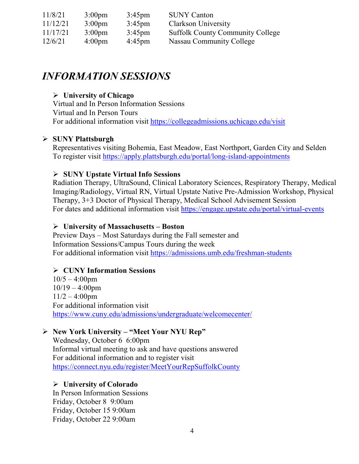| 11/8/21  | $3:00 \text{pm}$   | $3:45 \text{pm}$ | <b>SUNY Canton</b>                      |
|----------|--------------------|------------------|-----------------------------------------|
| 11/12/21 | $3:00 \text{pm}$   | $3:45 \text{pm}$ | Clarkson University                     |
| 11/17/21 | $3:00 \text{pm}$   | $3:45 \text{pm}$ | <b>Suffolk County Community College</b> |
| 12/6/21  | 4:00 <sub>pm</sub> | $4:45 \text{pm}$ | Nassau Community College                |

# *INFORMATION SESSIONS*

### **University of Chicago**

Virtual and In Person Information Sessions Virtual and In Person Tours For additional information visit<https://collegeadmissions.uchicago.edu/visit>

### **SUNY Plattsburgh**

Representatives visiting Bohemia, East Meadow, East Northport, Garden City and Selden To register visit<https://apply.plattsburgh.edu/portal/long-island-appointments>

### **SUNY Upstate Virtual Info Sessions**

Radiation Therapy, UltraSound, Clinical Laboratory Sciences, Respiratory Therapy, Medical Imaging/Radiology, Virtual RN, Virtual Upstate Native Pre-Admission Workshop, Physical Therapy, 3+3 Doctor of Physical Therapy, Medical School Advisement Session For dates and additional information visit<https://engage.upstate.edu/portal/virtual-events>

### **University of Massachusetts – Boston**

Preview Days – Most Saturdays during the Fall semester and Information Sessions/Campus Tours during the week For additional information visit<https://admissions.umb.edu/freshman-students>

### **CUNY Information Sessions**

 $10/5 - 4:00$ pm  $10/19 - 4:00$ pm  $11/2 - 4:00$ pm For additional information visit <https://www.cuny.edu/admissions/undergraduate/welcomecenter/>

### **New York University – "Meet Your NYU Rep"**

Wednesday, October 6 6:00pm Informal virtual meeting to ask and have questions answered For additional information and to register visit <https://connect.nyu.edu/register/MeetYourRepSuffolkCounty>

### **University of Colorado**

In Person Information Sessions Friday, October 8 9:00am Friday, October 15 9:00am Friday, October 22 9:00am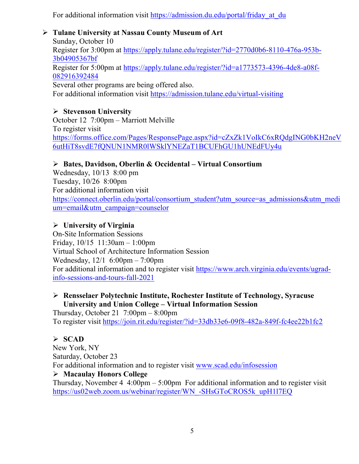For additional information visit https://admission.du.edu/portal/friday at du

### **Tulane University at Nassau County Museum of Art**

Sunday, October 10 Register for 3:00pm at [https://apply.tulane.edu/register/?id=2770d0b6-8110-476a-953b-](https://apply.tulane.edu/register/?id=2770d0b6-8110-476a-953b-3b04905367bf)[3b04905367bf](https://apply.tulane.edu/register/?id=2770d0b6-8110-476a-953b-3b04905367bf) Register for 5:00pm at [https://apply.tulane.edu/register/?id=a1773573-4396-4de8-a08f-](https://apply.tulane.edu/register/?id=a1773573-4396-4de8-a08f-082916392484)[082916392484](https://apply.tulane.edu/register/?id=a1773573-4396-4de8-a08f-082916392484) Several other programs are being offered also. For additional information visit<https://admission.tulane.edu/virtual-visiting>

### **Stevenson University**

October 12 7:00pm – Marriott Melville To register visit [https://forms.office.com/Pages/ResponsePage.aspx?id=cZxZk1VoIkC6xRQdgING0bKH2neV](https://forms.office.com/Pages/ResponsePage.aspx?id=cZxZk1VoIkC6xRQdgING0bKH2neV6utHiT8svdE7fQNUN1NMR0lWSklYNEZaT1BCUFhGU1hUNEdFUy4u) [6utHiT8svdE7fQNUN1NMR0lWSklYNEZaT1BCUFhGU1hUNEdFUy4u](https://forms.office.com/Pages/ResponsePage.aspx?id=cZxZk1VoIkC6xRQdgING0bKH2neV6utHiT8svdE7fQNUN1NMR0lWSklYNEZaT1BCUFhGU1hUNEdFUy4u)

### **Bates, Davidson, Oberlin & Occidental – Virtual Consortium**

Wednesday, 10/13 8:00 pm Tuesday, 10/26 8:00pm For additional information visit [https://connect.oberlin.edu/portal/consortium\\_student?utm\\_source=as\\_admissions&utm\\_medi](https://connect.oberlin.edu/portal/consortium_student?utm_source=as_admissions&utm_medium=email&utm_campaign=counselor) [um=email&utm\\_campaign=counselor](https://connect.oberlin.edu/portal/consortium_student?utm_source=as_admissions&utm_medium=email&utm_campaign=counselor)

### **University of Virginia**

On-Site Information Sessions Friday, 10/15 11:30am – 1:00pm Virtual School of Architecture Information Session Wednesday, 12/1 6:00pm – 7:00pm For additional information and to register visit [https://www.arch.virginia.edu/events/ugrad](https://www.arch.virginia.edu/events/ugrad-info-sessions-and-tours-fall-2021)[info-sessions-and-tours-fall-2021](https://www.arch.virginia.edu/events/ugrad-info-sessions-and-tours-fall-2021)

### **Rensselaer Polytechnic Institute, Rochester Institute of Technology, Syracuse University and Union College – Virtual Information Session**

Thursday, October 21  $7:00 \text{pm} - 8:00 \text{pm}$ To register visit<https://join.rit.edu/register/?id=33db33e6-09f8-482a-849f-fc4ee22b1fc2>

### **SCAD**

New York, NY Saturday, October 23 For additional information and to register visit [www.scad.edu/infosession](http://www.scad.edu/infosession) **Macaulay Honors College** Thursday, November 4  $4:00 \text{pm} - 5:00 \text{pm}$  For additional information and to register visit

[https://us02web.zoom.us/webinar/register/WN\\_-SHsGToCROS5k\\_upH1l7EQ](https://us02web.zoom.us/webinar/register/WN_-SHsGToCROS5k_upH1l7EQ)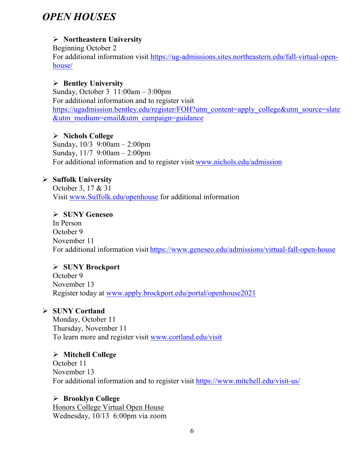# *OPEN HOUSES*

# **Northeastern University**

Beginning October 2 For additional information visit [https://ug-admissions.sites.northeastern.edu/fall-virtual-open](https://ug-admissions.sites.northeastern.edu/fall-virtual-open-house/)[house/](https://ug-admissions.sites.northeastern.edu/fall-virtual-open-house/)

### **Bentley University**

Sunday, October 3 11:00am – 3:00pm For additional information and to register visit [https://ugadmission.bentley.edu/register/FOH?utm\\_content=apply\\_college&utm\\_source=slate](https://ugadmission.bentley.edu/register/FOH?utm_content=apply_college&utm_source=slate&utm_medium=email&utm_campaign=guidance) [&utm\\_medium=email&utm\\_campaign=guidance](https://ugadmission.bentley.edu/register/FOH?utm_content=apply_college&utm_source=slate&utm_medium=email&utm_campaign=guidance)

### **Nichols College**

Sunday, 10/3 9:00am – 2:00pm Sunday, 11/7 9:00am – 2:00pm For additional information and to register visit [www.nichols.edu/admission](http://www.nichols.edu/admission)

### **Suffolk University**

October 3, 17 & 31 Visit [www.Suffolk.edu/openhouse](http://www.suffolk.edu/openhouse) for additional information

### **SUNY Geneseo**

In Person October 9 November 11 For additional information visit <https://www.geneseo.edu/admissions/virtual-fall-open-house>

### **SUNY Brockport**

October 9 November 13 Register today at [www.apply.brockport.edu/portal/openhouse2021](http://www.apply.brockport.edu/portal/openhouse2021)

### **SUNY Cortland**

Monday, October 11 Thursday, November 11 To learn more and register visit [www.cortland.edu/visit](http://www.cortland.edu/visit)

### **Mitchell College**

October 11 November 13 For additional information and to register visit <https://www.mitchell.edu/visit-us/>

### **Brooklyn College**

Honors College Virtual Open House Wednesday, 10/13 6:00pm via zoom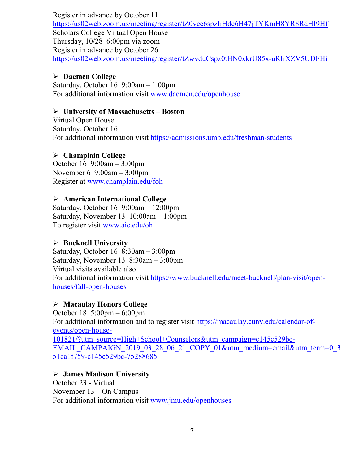Register in advance by October 11 <https://us02web.zoom.us/meeting/register/tZ0vce6spzIiHde6H47jTYKmH8YR8RdHI9Hf> Scholars College Virtual Open House Thursday, 10/28 6:00pm via zoom Register in advance by October 26 <https://us02web.zoom.us/meeting/register/tZwvduCspz0tHN0xkrU85x-uRIiXZV5UDFHi>

### **Daemen College**

Saturday, October 16 9:00am – 1:00pm For additional information visit [www.daemen.edu/openhouse](http://www.daemen.edu/openhouse)

### **University of Massachusetts – Boston**

Virtual Open House Saturday, October 16 For additional information visit<https://admissions.umb.edu/freshman-students>

### **Champlain College**

October 16 9:00am – 3:00pm November 6 9:00am – 3:00pm Register at [www.champlain.edu/foh](http://www.champlain.edu/foh)

### **American International College**

Saturday, October 16 9:00am – 12:00pm Saturday, November 13 10:00am – 1:00pm To register visit [www.aic.edu/oh](http://www.aic.edu/oh)

### **Bucknell University**

Saturday, October 16 8:30am – 3:00pm Saturday, November 13 8:30am – 3:00pm Virtual visits available also For additional information visit [https://www.bucknell.edu/meet-bucknell/plan-visit/open](https://www.bucknell.edu/meet-bucknell/plan-visit/open-houses/fall-open-houses)[houses/fall-open-houses](https://www.bucknell.edu/meet-bucknell/plan-visit/open-houses/fall-open-houses)

### **Macaulay Honors College**

October 18 5:00pm – 6:00pm For additional information and to register visit [https://macaulay.cuny.edu/calendar-of](https://macaulay.cuny.edu/calendar-of-events/open-house-101821/?utm_source=High+School+Counselors&utm_campaign=c145c529bc-EMAIL_CAMPAIGN_2019_03_28_06_21_COPY_01&utm_medium=email&utm_term=0_351ca1f759-c145c529bc-75288685)[events/open-house-](https://macaulay.cuny.edu/calendar-of-events/open-house-101821/?utm_source=High+School+Counselors&utm_campaign=c145c529bc-EMAIL_CAMPAIGN_2019_03_28_06_21_COPY_01&utm_medium=email&utm_term=0_351ca1f759-c145c529bc-75288685)[101821/?utm\\_source=High+School+Counselors&utm\\_campaign=c145c529bc-](https://macaulay.cuny.edu/calendar-of-events/open-house-101821/?utm_source=High+School+Counselors&utm_campaign=c145c529bc-EMAIL_CAMPAIGN_2019_03_28_06_21_COPY_01&utm_medium=email&utm_term=0_351ca1f759-c145c529bc-75288685)[EMAIL\\_CAMPAIGN\\_2019\\_03\\_28\\_06\\_21\\_COPY\\_01&utm\\_medium=email&utm\\_term=0\\_3](https://macaulay.cuny.edu/calendar-of-events/open-house-101821/?utm_source=High+School+Counselors&utm_campaign=c145c529bc-EMAIL_CAMPAIGN_2019_03_28_06_21_COPY_01&utm_medium=email&utm_term=0_351ca1f759-c145c529bc-75288685) [51ca1f759-c145c529bc-75288685](https://macaulay.cuny.edu/calendar-of-events/open-house-101821/?utm_source=High+School+Counselors&utm_campaign=c145c529bc-EMAIL_CAMPAIGN_2019_03_28_06_21_COPY_01&utm_medium=email&utm_term=0_351ca1f759-c145c529bc-75288685)

### **James Madison University**

October 23 - Virtual November 13 – On Campus For additional information visit [www.jmu.edu/openhouses](http://www.jmu.edu/openhouses)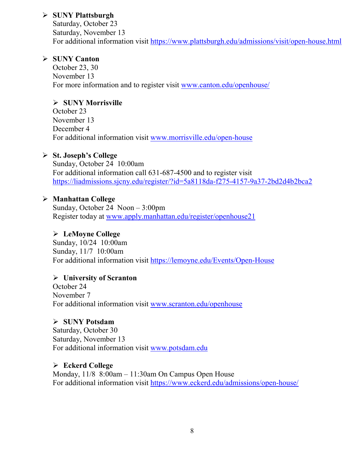### **SUNY Plattsburgh**

Saturday, October 23 Saturday, November 13 For additional information visit<https://www.plattsburgh.edu/admissions/visit/open-house.html>

### **SUNY Canton**

October 23, 30 November 13 For more information and to register visit [www.canton.edu/openhouse/](http://www.canton.edu/openhouse/)

# **SUNY Morrisville**

October 23 November 13 December 4 For additional information visit [www.morrisville.edu/open-house](http://www.morrisville.edu/open-house)

### **St. Joseph's College**

Sunday, October 24 10:00am For additional information call 631-687-4500 and to register visit <https://liadmissions.sjcny.edu/register/?id=5a8118da-f275-4157-9a37-2bd2d4b2bca2>

### **Manhattan College**

Sunday, October 24 Noon – 3:00pm Register today at [www.apply.manhattan.edu/register/openhouse21](http://www.apply.manhattan.edu/register/openhouse21) 

### **LeMoyne College**

Sunday, 10/24 10:00am Sunday, 11/7 10:00am For additional information visit<https://lemoyne.edu/Events/Open-House>

### **University of Scranton**

October 24 November 7 For additional information visit [www.scranton.edu/openhouse](http://www.scranton.edu/openhouse)

# **SUNY Potsdam**

Saturday, October 30 Saturday, November 13 For additional information visit [www.potsdam.edu](http://www.potsdam.edu/)

### **Eckerd College**

Monday, 11/8 8:00am – 11:30am On Campus Open House For additional information visit<https://www.eckerd.edu/admissions/open-house/>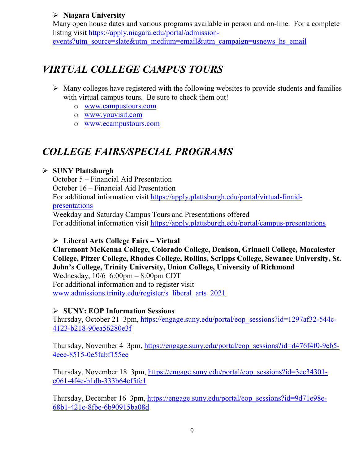### **Niagara University**

Many open house dates and various programs available in person and on-line. For a complete listing visit [https://apply.niagara.edu/portal/admission](https://apply.niagara.edu/portal/admission-events?utm_source=slate&utm_medium=email&utm_campaign=usnews_hs_email)[events?utm\\_source=slate&utm\\_medium=email&utm\\_campaign=usnews\\_hs\\_email](https://apply.niagara.edu/portal/admission-events?utm_source=slate&utm_medium=email&utm_campaign=usnews_hs_email)

# *VIRTUAL COLLEGE CAMPUS TOURS*

- $\triangleright$  Many colleges have registered with the following websites to provide students and families with virtual campus tours. Be sure to check them out!
	- o [www.campustours.com](http://www.campustours.com/)
	- o [www.youvisit.com](http://www.youvisit.com/)
	- o [www.ecampustours.com](http://www.ecampustours.com/)

# *COLLEGE FAIRS/SPECIAL PROGRAMS*

### **SUNY Plattsburgh**

October 5 – Financial Aid Presentation October 16 – Financial Aid Presentation For additional information visit [https://apply.plattsburgh.edu/portal/virtual-finaid](https://apply.plattsburgh.edu/portal/virtual-finaid-presentations)[presentations](https://apply.plattsburgh.edu/portal/virtual-finaid-presentations) Weekday and Saturday Campus Tours and Presentations offered For additional information visit<https://apply.plattsburgh.edu/portal/campus-presentations>

### **Liberal Arts College Fairs – Virtual**

**Claremont McKenna College, Colorado College, Denison, Grinnell College, Macalester College, Pitzer College, Rhodes College, Rollins, Scripps College, Sewanee University, St. John's College, Trinity University, Union College, University of Richmond** Wednesday, 10/6 6:00pm – 8:00pm CDT For additional information and to register visit [www.admissions.trinity.edu/register/s\\_liberal\\_arts\\_2021](http://www.admissions.trinity.edu/register/s_liberal_arts_2021)

## **SUNY: EOP Information Sessions**

Thursday, October 21 3pm, [https://engage.suny.edu/portal/eop\\_sessions?id=1297af32-544c-](https://engage.suny.edu/portal/eop_sessions?id=1297af32-544c-4123-b218-90ea56280e3f)[4123-b218-90ea56280e3f](https://engage.suny.edu/portal/eop_sessions?id=1297af32-544c-4123-b218-90ea56280e3f)

Thursday, November 4 3pm, [https://engage.suny.edu/portal/eop\\_sessions?id=d476f4f0-9eb5-](https://engage.suny.edu/portal/eop_sessions?id=d476f4f0-9eb5-4eee-8515-0e5fabf155ee) [4eee-8515-0e5fabf155ee](https://engage.suny.edu/portal/eop_sessions?id=d476f4f0-9eb5-4eee-8515-0e5fabf155ee)

Thursday, November 18 3pm, [https://engage.suny.edu/portal/eop\\_sessions?id=3ec34301](https://engage.suny.edu/portal/eop_sessions?id=3ec34301-e061-4f4e-b1db-333b64ef5fc1) [e061-4f4e-b1db-333b64ef5fc1](https://engage.suny.edu/portal/eop_sessions?id=3ec34301-e061-4f4e-b1db-333b64ef5fc1)

Thursday, December 16 3pm, [https://engage.suny.edu/portal/eop\\_sessions?id=9d71e98e-](https://engage.suny.edu/portal/eop_sessions?id=9d71e98e-68b1-421c-8fbe-6b90915ba08d)[68b1-421c-8fbe-6b90915ba08d](https://engage.suny.edu/portal/eop_sessions?id=9d71e98e-68b1-421c-8fbe-6b90915ba08d)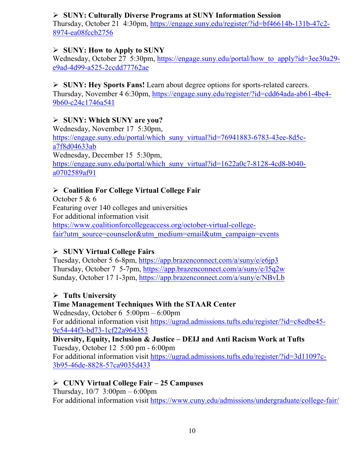### **SUNY: Culturally Diverse Programs at SUNY Information Session**

Thursday, October 21 4:30pm, [https://engage.suny.edu/register/?id=bf46614b-131b-47c2-](https://engage.suny.edu/register/?id=bf46614b-131b-47c2-8974-ea08fccb2756) [8974-ea08fccb2756](https://engage.suny.edu/register/?id=bf46614b-131b-47c2-8974-ea08fccb2756)

### **SUNY: How to Apply to SUNY**

Wednesday, October 27 5:30pm, https://engage.suny.edu/portal/how to apply?id=3ee30a29[e9ad-4d99-a525-2ccdd77762ae](https://engage.suny.edu/portal/how_to_apply?id=3ee30a29-e9ad-4d99-a525-2ccdd77762ae)

### **SUNY: Hey Sports Fans!** Learn about degree options for sports-related careers.

Thursday, November 4 6:30pm, [https://engage.suny.edu/register/?id=cdd64ada-ab61-4be4-](https://engage.suny.edu/register/?id=cdd64ada-ab61-4be4-9b60-c24c1746a541) [9b60-c24c1746a541](https://engage.suny.edu/register/?id=cdd64ada-ab61-4be4-9b60-c24c1746a541)

### **SUNY: Which SUNY are you?**

Wednesday, November 17 5:30pm, [https://engage.suny.edu/portal/which\\_suny\\_virtual?id=76941883-6783-43ee-8d5c](https://engage.suny.edu/portal/which_suny_virtual?id=76941883-6783-43ee-8d5c-a7f8d04633ab)[a7f8d04633ab](https://engage.suny.edu/portal/which_suny_virtual?id=76941883-6783-43ee-8d5c-a7f8d04633ab) Wednesday, December 15 5:30pm, [https://engage.suny.edu/portal/which\\_suny\\_virtual?id=1622a0c7-8128-4cd8-b040](https://engage.suny.edu/portal/which_suny_virtual?id=1622a0c7-8128-4cd8-b040-a0702589af91) [a0702589af91](https://engage.suny.edu/portal/which_suny_virtual?id=1622a0c7-8128-4cd8-b040-a0702589af91)

### **Coalition For College Virtual College Fair**

October 5 & 6 Featuring over 140 colleges and universities For additional information visit [https://www.coalitionforcollegeaccess.org/october-virtual-college](https://www.coalitionforcollegeaccess.org/october-virtual-college-fair?utm_source=counselor&utm_medium=email&utm_campaign=events)[fair?utm\\_source=counselor&utm\\_medium=email&utm\\_campaign=events](https://www.coalitionforcollegeaccess.org/october-virtual-college-fair?utm_source=counselor&utm_medium=email&utm_campaign=events)

### **SUNY Virtual College Fairs**

Tuesday, October 5 6-8pm,<https://app.brazenconnect.com/a/suny/e/e6jp3> Thursday, October 7 5-7pm,<https://app.brazenconnect.com/a/suny/e/l5q2w> Sunday, October 17 1-3pm,<https://app.brazenconnect.com/a/suny/e/NBvLb>

### **Tufts University**

## **Time Management Techniques With the STAAR Center**

Wednesday, October 6 5:00pm – 6:00pm For additional information visit [https://ugrad.admissions.tufts.edu/register/?id=c8edbe45-](https://ugrad.admissions.tufts.edu/register/?id=c8edbe45-9e54-44f3-bd73-1cf22a964353) [9e54-44f3-bd73-1cf22a964353](https://ugrad.admissions.tufts.edu/register/?id=c8edbe45-9e54-44f3-bd73-1cf22a964353)

### **Diversity, Equity, Inclusion & Justice – DEIJ and Anti Racism Work at Tufts** Tuesday, October 12 5:00 pm - 6:00pm

For additional information visit [https://ugrad.admissions.tufts.edu/register/?id=3d11097c-](https://ugrad.admissions.tufts.edu/register/?id=3d11097c-3b95-46de-8828-57ca9035d433)[3b95-46de-8828-57ca9035d433](https://ugrad.admissions.tufts.edu/register/?id=3d11097c-3b95-46de-8828-57ca9035d433)

### **CUNY Virtual College Fair – 25 Campuses**

Thursday,  $10/7$  3:00pm – 6:00pm For additional information visit<https://www.cuny.edu/admissions/undergraduate/college-fair/>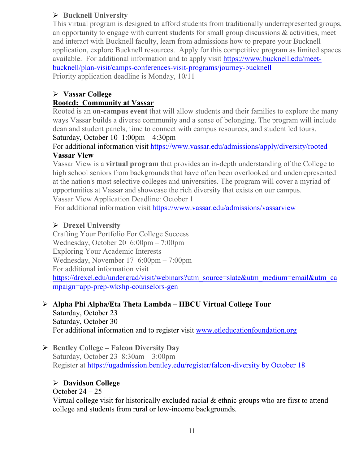## **Bucknell University**

This virtual program is designed to afford students from traditionally underrepresented groups, an opportunity to engage with current students for small group discussions & activities, meet and interact with Bucknell faculty, learn from admissions how to prepare your Bucknell application, explore Bucknell resources. Apply for this competitive program as limited spaces available. For additional information and to apply visit [https://www.bucknell.edu/meet](https://www.bucknell.edu/meet-bucknell/plan-visit/camps-conferences-visit-programs/journey-bucknell)[bucknell/plan-visit/camps-conferences-visit-programs/journey-bucknell](https://www.bucknell.edu/meet-bucknell/plan-visit/camps-conferences-visit-programs/journey-bucknell) Priority application deadline is Monday, 10/11

### **Vassar College**

### **Rooted: Community at Vassar**

Rooted is an **on-campus event** that will allow students and their families to explore the many ways Vassar builds a diverse community and a sense of belonging. The program will include dean and student panels, time to connect with campus resources, and student led tours. Saturday, October 10 1:00pm – 4:30pm

### For additional information visit<https://www.vassar.edu/admissions/apply/diversity/rooted> **Vassar View**

Vassar View is a **virtual program** that provides an in-depth understanding of the College to high school seniors from backgrounds that have often been overlooked and underrepresented at the nation's most selective colleges and universities. The program will cover a myriad of opportunities at Vassar and showcase the rich diversity that exists on our campus.

Vassar View Application Deadline: October 1

For additional information visit<https://www.vassar.edu/admissions/vassarview>

### **Drexel University**

Crafting Your Portfolio For College Success Wednesday, October 20 6:00pm – 7:00pm Exploring Your Academic Interests Wednesday, November 17 6:00pm – 7:00pm For additional information visit [https://drexel.edu/undergrad/visit/webinars?utm\\_source=slate&utm\\_medium=email&utm\\_ca](https://drexel.edu/undergrad/visit/webinars?utm_source=slate&utm_medium=email&utm_campaign=app-prep-wkshp-counselors-gen) [mpaign=app-prep-wkshp-counselors-gen](https://drexel.edu/undergrad/visit/webinars?utm_source=slate&utm_medium=email&utm_campaign=app-prep-wkshp-counselors-gen)

## **Alpha Phi Alpha/Eta Theta Lambda – HBCU Virtual College Tour**

Saturday, October 23 Saturday, October 30 For additional information and to register visit [www.etleducationfoundation.org](http://www.etleducationfoundation.org/)

 **Bentley College – Falcon Diversity Day** Saturday, October 23 8:30am – 3:00pm Register at [https://ugadmission.bentley.edu/register/falcon-diversity by October 18](https://ugadmission.bentley.edu/register/falcon-diversity%20by%20October%2018)

### **Davidson College**

October  $24 - 25$ 

Virtual college visit for historically excluded racial & ethnic groups who are first to attend college and students from rural or low-income backgrounds.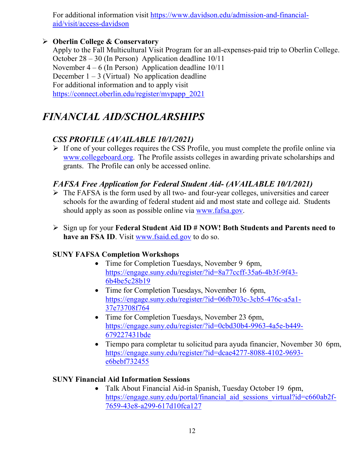For additional information visit [https://www.davidson.edu/admission-and-financial](https://www.davidson.edu/admission-and-financial-aid/visit/access-davidson)[aid/visit/access-davidson](https://www.davidson.edu/admission-and-financial-aid/visit/access-davidson)

### **Oberlin College & Conservatory**

Apply to the Fall Multicultural Visit Program for an all-expenses-paid trip to Oberlin College. October 28 – 30 (In Person) Application deadline 10/11 November  $4 - 6$  (In Person) Application deadline  $10/11$ December  $1 - 3$  (Virtual) No application deadline For additional information and to apply visit [https://connect.oberlin.edu/register/mvpapp\\_2021](https://connect.oberlin.edu/register/mvpapp_2021)

# *FINANCIAL AID/SCHOLARSHIPS*

# *CSS PROFILE (AVAILABLE 10/1/2021)*

 $\triangleright$  If one of your colleges requires the CSS Profile, you must complete the profile online via [www.collegeboard.org](http://www.collegeboard.org/). The Profile assists colleges in awarding private scholarships and grants. The Profile can only be accessed online.

### *FAFSA Free Application for Federal Student Aid- (AVAILABLE 10/1/2021)*

- $\triangleright$  The FAFSA is the form used by all two- and four-year colleges, universities and career schools for the awarding of [federal student aid](http://studentaid.ed.gov/students/publications/student_guide/2010-2011/english/typesofFSA_grants.htm) and most state and college aid. Students should apply as soon as possible online via [www.fafsa.gov.](http://www.fafsa.gov/)
- Sign up for your **Federal Student Aid ID # NOW! Both Students and Parents need to have an FSA ID**. Visit [www.fsaid.ed.gov](http://www.fsaid.ed.gov/) to do so.

### **SUNY FAFSA Completion Workshops**

- Time for Completion Tuesdays, November 9 6pm, [https://engage.suny.edu/register/?id=8a77ccff-35a6-4b3f-9f43-](https://engage.suny.edu/register/?id=8a77ccff-35a6-4b3f-9f43-6b4be5c28b19) [6b4be5c28b19](https://engage.suny.edu/register/?id=8a77ccff-35a6-4b3f-9f43-6b4be5c28b19)
- Time for Completion Tuesdays, November 16 6pm, [https://engage.suny.edu/register/?id=06fb703c-3cb5-476c-a5a1-](https://engage.suny.edu/register/?id=06fb703c-3cb5-476c-a5a1-37e73708f764) [37e73708f764](https://engage.suny.edu/register/?id=06fb703c-3cb5-476c-a5a1-37e73708f764)
- Time for Completion Tuesdays, November 23 6pm, [https://engage.suny.edu/register/?id=0cbd30b4-9963-4a5e-b449-](https://engage.suny.edu/register/?id=0cbd30b4-9963-4a5e-b449-679227431bde) [679227431bde](https://engage.suny.edu/register/?id=0cbd30b4-9963-4a5e-b449-679227431bde)
- Tiempo para completar tu solicitud para ayuda financier, November 30 6pm, [https://engage.suny.edu/register/?id=dcae4277-8088-4102-9693](https://engage.suny.edu/register/?id=dcae4277-8088-4102-9693-e6bebf732455) [e6bebf732455](https://engage.suny.edu/register/?id=dcae4277-8088-4102-9693-e6bebf732455)

### **SUNY Financial Aid Information Sessions**

• Talk About Financial Aid-in Spanish, Tuesday October 19 6pm, https://engage.suny.edu/portal/financial aid sessions virtual?id=c660ab2f-[7659-43e8-a299-617d10fca127](https://engage.suny.edu/portal/financial_aid_sessions_virtual?id=c660ab2f-7659-43e8-a299-617d10fca127)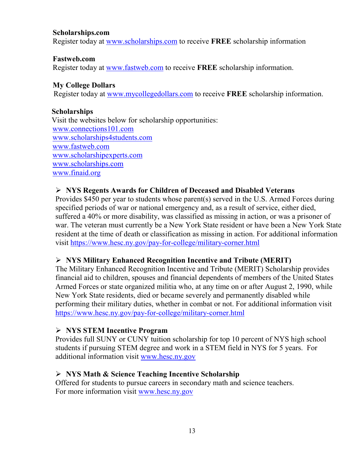### **Scholarships.com**

Register today at [www.scholarships.com](http://www.scholarships.com/) to receive **FREE** scholarship information

### **Fastweb.com**

Register today at [www.fastweb.com](http://www.fastweb.com/) to receive **FREE** scholarship information.

### **My College Dollars**

Register today at [www.mycollegedollars.com](http://www.mycollegedollars.com/) to receive **FREE** scholarship information.

### **Scholarships**

 Visit the websites below for scholarship opportunities: [www.connections101.com](http://www.connections101.com/) [www.scholarships4students.com](http://www.scholarships4students.com/) [www.fastweb.com](http://www.fastweb.com/) [www.scholarshipexperts.com](http://www.scholarshipexperts.com/) [www.scholarships.com](http://www.scholarships.com/) [www.finaid.org](http://www.finaid.org/)

### **NYS Regents Awards for Children of Deceased and Disabled Veterans**

Provides \$450 per year to students whose parent(s) served in the U.S. Armed Forces during specified periods of war or national emergency and, as a result of service, either died, suffered a 40% or more disability, was classified as missing in action, or was a prisoner of war. The veteran must currently be a New York State resident or have been a New York State resident at the time of death or classification as missing in action. For additional information visit<https://www.hesc.ny.gov/pay-for-college/military-corner.html>

### **NYS Military Enhanced Recognition Incentive and Tribute (MERIT)**

The Military Enhanced Recognition Incentive and Tribute (MERIT) Scholarship provides financial aid to children, spouses and financial dependents of members of the United States Armed Forces or state organized militia who, at any time on or after August 2, 1990, while New York State residents, died or became severely and permanently disabled while performing their military duties, whether in combat or not. For additional information visit <https://www.hesc.ny.gov/pay-for-college/military-corner.html>

### **NYS STEM Incentive Program**

Provides full SUNY or CUNY tuition scholarship for top 10 percent of NYS high school students if pursuing STEM degree and work in a STEM field in NYS for 5 years. For additional information visit [www.hesc.ny.gov](http://www.hesc.ny.gov/)

### **NYS Math & Science Teaching Incentive Scholarship**

Offered for students to pursue careers in secondary math and science teachers. For more information visit [www.hesc.ny.gov](http://www.hesc.ny.gov/)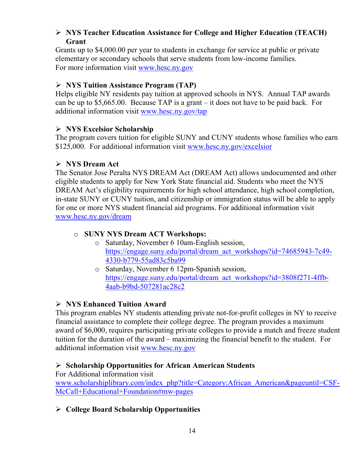### **NYS Teacher Education Assistance for College and Higher Education (TEACH) Grant**

Grants up to \$4,000.00 per year to students in exchange for service at public or private elementary or secondary schools that serve students from low-income families. For more information visit [www.hesc.ny.gov](http://www.hesc.ny.gov/) 

### **NYS Tuition Assistance Program (TAP)**

Helps eligible NY residents pay tuition at approved schools in NYS. Annual TAP awards can be up to \$5,665.00. Because TAP is a grant – it does not have to be paid back. For additional information visit [www.hesc.ny.gov/tap](http://www.hesc.ny.gov/tap)

### **NYS Excelsior Scholarship**

The program covers tuition for eligible SUNY and CUNY students whose families who earn \$125,000. For additional information visit [www.hesc.ny.gov/](http://www.hesc.ny.gov/)excelsior

### **NYS Dream Act**

The Senator Jose Peralta NYS DREAM Act (DREAM Act) allows undocumented and other eligible students to apply for New York State financial aid. Students who meet the NYS DREAM Act's eligibility requirements for high school attendance, high school completion, in-state SUNY or CUNY tuition, and citizenship or immigration status will be able to apply for one or more NYS student financial aid programs. For additional information visit [www.hesc.ny.gov/dream](http://www.hesc.ny.gov/dream)

### o **SUNY NYS Dream ACT Workshops:**

- o Saturday, November 6 10am-English session, [https://engage.suny.edu/portal/dream\\_act\\_workshops?id=74685943-7c49-](https://engage.suny.edu/portal/dream_act_workshops?id=74685943-7c49-4330-b779-55ad83c5ba99) [4330-b779-55ad83c5ba99](https://engage.suny.edu/portal/dream_act_workshops?id=74685943-7c49-4330-b779-55ad83c5ba99)
- o Saturday, November 6 12pm-Spanish session, [https://engage.suny.edu/portal/dream\\_act\\_workshops?id=3808f271-4ffb-](https://engage.suny.edu/portal/dream_act_workshops?id=3808f271-4ffb-4aab-b9bd-507281ac28c2)[4aab-b9bd-507281ac28c2](https://engage.suny.edu/portal/dream_act_workshops?id=3808f271-4ffb-4aab-b9bd-507281ac28c2)

### **NYS Enhanced Tuition Award**

This program enables NY students attending private not-for-profit colleges in NY to receive financial assistance to complete their college degree. The program provides a maximum award of \$6,000, requires participating private colleges to provide a match and freeze student tuition for the duration of the award – maximizing the financial benefit to the student. For additional information visit [www.hesc.ny.gov](http://www.hesc.ny.gov/)

### **Scholarship Opportunities for African American Students**

For Additional information visit

[www.scholarshiplibrary.com/index\\_php?title=Category:African\\_American&pageuntil=CSF-](http://www.scholarshiplibrary.com/index_php?title=Category:African_American&pageuntil=CSF-McCall+Educational+Foundation#mw-pages)[McCall+Educational+Foundation#mw-pages](http://www.scholarshiplibrary.com/index_php?title=Category:African_American&pageuntil=CSF-McCall+Educational+Foundation#mw-pages)

**College Board Scholarship Opportunities**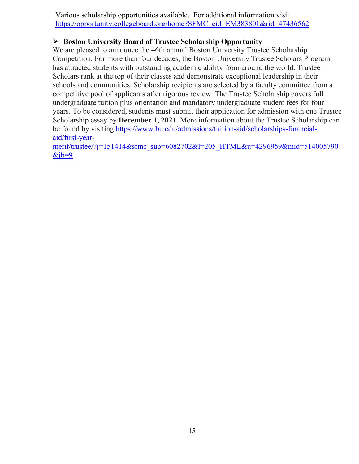Various scholarship opportunities available. For additional information visit [https://opportunity.collegeboard.org/home?SFMC\\_cid=EM383801&rid=47436562](https://opportunity.collegeboard.org/home?SFMC_cid=EM383801&rid=47436562)

### **Boston University Board of Trustee Scholarship Opportunity**

We are pleased to announce the 46th annual Boston University Trustee Scholarship Competition. For more than four decades, the Boston University Trustee Scholars Program has attracted students with outstanding academic ability from around the world. Trustee Scholars rank at the top of their classes and demonstrate exceptional leadership in their schools and communities. Scholarship recipients are selected by a faculty committee from a competitive pool of applicants after rigorous review. The Trustee Scholarship covers full undergraduate tuition plus orientation and mandatory undergraduate student fees for four years. To be considered, students must submit their application for admission with one Trustee Scholarship essay by **December 1, 2021**. More information about the Trustee Scholarship can be found by visiting [https://www.bu.edu/admissions/tuition-aid/scholarships-financial](https://www.bu.edu/admissions/tuition-aid/scholarships-financial-aid/first-year-merit/trustee/?j=151414&sfmc_sub=6082702&l=205_HTML&u=4296959&mid=514005790&jb=9)[aid/first-year-](https://www.bu.edu/admissions/tuition-aid/scholarships-financial-aid/first-year-merit/trustee/?j=151414&sfmc_sub=6082702&l=205_HTML&u=4296959&mid=514005790&jb=9)

[merit/trustee/?j=151414&sfmc\\_sub=6082702&l=205\\_HTML&u=4296959&mid=514005790](https://www.bu.edu/admissions/tuition-aid/scholarships-financial-aid/first-year-merit/trustee/?j=151414&sfmc_sub=6082702&l=205_HTML&u=4296959&mid=514005790&jb=9)  $&ib=9$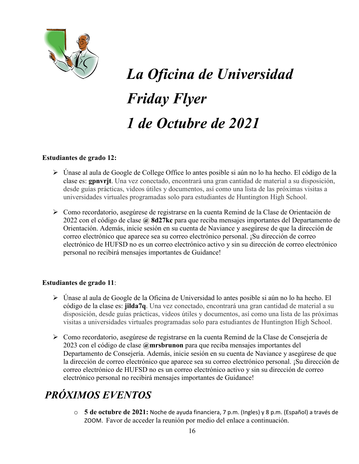

# *La Oficina de Universidad Friday Flyer 1 de Octubre de 2021*

### **Estudiantes de grado 12:**

- Únase al aula de Google de College Office lo antes posible si aún no lo ha hecho. El código de la clase es: **gpnvrjt**. Una vez conectado, encontrará una gran cantidad de material a su disposición, desde guías prácticas, videos útiles y documentos, así como una lista de las próximas visitas a universidades virtuales programadas solo para estudiantes de Huntington High School.
- Como recordatorio, asegúrese de registrarse en la cuenta Remind de la Clase de Orientación de 2022 con el código de clase **@ 8d27kc** para que reciba mensajes importantes del Departamento de Orientación. Además, inicie sesión en su cuenta de Naviance y asegúrese de que la dirección de correo electrónico que aparece sea su correo electrónico personal. ¡Su dirección de correo electrónico de HUFSD no es un correo electrónico activo y sin su dirección de correo electrónico personal no recibirá mensajes importantes de Guidance!

### **Estudiantes de grado 11**:

- Únase al aula de Google de la Oficina de Universidad lo antes posible si aún no lo ha hecho. El código de la clase es: **jilda7q**. Una vez conectado, encontrará una gran cantidad de material a su disposición, desde guías prácticas, videos útiles y documentos, así como una lista de las próximas visitas a universidades virtuales programadas solo para estudiantes de Huntington High School.
- Como recordatorio, asegúrese de registrarse en la cuenta Remind de la Clase de Consejería de 2023 con el código de clase **@mrsbrunon** para que reciba mensajes importantes del Departamento de Consejería. Además, inicie sesión en su cuenta de Naviance y asegúrese de que la dirección de correo electrónico que aparece sea su correo electrónico personal. ¡Su dirección de correo electrónico de HUFSD no es un correo electrónico activo y sin su dirección de correo electrónico personal no recibirá mensajes importantes de Guidance!

# *PRÓXIMOS EVENTOS*

o **5 de octubre de 2021:** Noche de ayuda financiera, 7 p.m. (Ingles) y 8 p.m. (Español) a través de ZOOM. Favor de acceder la reunión por medio del enlace a continuación.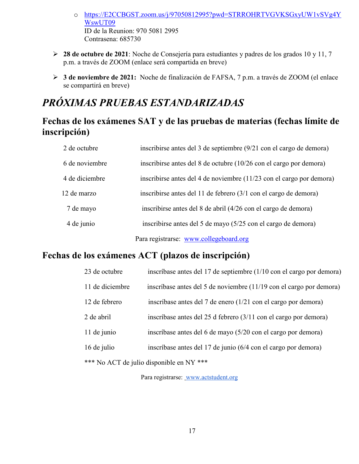- o [https://E2CCBGST.zoom.us/j/97050812995?pwd=STRROHRTVGVKSGxyUW1vSVg4Y](https://e2ccbgst.zoom.us/j/97050812995?pwd=STRROHRTVGVKSGxyUW1vSVg4YWswUT09) [WswUT09](https://e2ccbgst.zoom.us/j/97050812995?pwd=STRROHRTVGVKSGxyUW1vSVg4YWswUT09) ID de la Reunion: 970 5081 2995 Contrasena: 685730
- **28 de octubre de 2021**: Noche de Consejería para estudiantes y padres de los grados 10 y 11, 7 p.m. a través de ZOOM (enlace será compartida en breve)
- **3 de noviembre de 2021:** Noche de finalización de FAFSA, 7 p.m. a través de ZOOM (el enlace se compartirá en breve)

# *PRÓXIMAS PRUEBAS ESTANDARIZADAS*

# **Fechas de los exámenes SAT y de las pruebas de materias (fechas límite de inscripción)**

| 2 de octubre   | inscribirse antes del 3 de septiembre (9/21 con el cargo de demora)                          |
|----------------|----------------------------------------------------------------------------------------------|
| 6 de noviembre | inscribirse antes del 8 de octubre (10/26 con el cargo por demora)                           |
| 4 de diciembre | inscribirse antes del 4 de noviembre (11/23 con el cargo por demora)                         |
| 12 de marzo    | inscribirse antes del 11 de febrero $(3/1 \text{ con } el \text{ cargo } de \text{ demora})$ |
| 7 de mayo      | inscribirse antes del 8 de abril (4/26 con el cargo de demora)                               |
| 4 de junio     | inscribirse antes del 5 de mayo (5/25 con el cargo de demora)                                |
|                | Para registrarse: www.collegeboard.org                                                       |

# **Fechas de los exámenes ACT (plazos de inscripción)**

| 23 de octubre   | inscríbase antes del 17 de septiembre (1/10 con el cargo por demora)       |
|-----------------|----------------------------------------------------------------------------|
| 11 de diciembre | inscríbase antes del 5 de noviembre (11/19 con el cargo por demora)        |
| 12 de febrero   | inscríbase antes del 7 de enero (1/21 con el cargo por demora)             |
| 2 de abril      | inscríbase antes del 25 d febrero $(3/11 \text{ con el cargo por demora})$ |
| 11 de junio     | inscríbase antes del 6 de mayo (5/20 con el cargo por demora)              |
| 16 de julio     | inscríbase antes del 17 de junio (6/4 con el cargo por demora)             |
|                 | *** No ACT de julio disponible en NY ***                                   |

Para registrarse: [www.actstudent.org](http://www.actstudent.org/)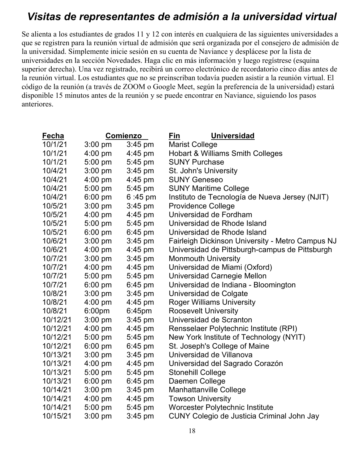# *Visitas de representantes de admisión a la universidad virtual*

Se alienta a los estudiantes de grados 11 y 12 con interés en cualquiera de las siguientes universidades a que se registren para la reunión virtual de admisión que será organizada por el consejero de admisión de la universidad. Simplemente inicie sesión en su cuenta de Naviance y desplácese por la lista de universidades en la sección Novedades. Haga clic en más información y luego regístrese (esquina superior derecha). Una vez registrado, recibirá un correo electrónico de recordatorio cinco días antes de la reunión virtual. Los estudiantes que no se preinscriban todavía pueden asistir a la reunión virtual. El código de la reunión (a través de ZOOM o Google Meet, según la preferencia de la universidad) estará disponible 15 minutos antes de la reunión y se puede encontrar en Naviance, siguiendo los pasos anteriores.

| Fecha    |           | Comienzo          | Fin<br><b>Universidad</b>                        |
|----------|-----------|-------------------|--------------------------------------------------|
| 10/1/21  | $3:00$ pm | $3:45$ pm         | <b>Marist College</b>                            |
| 10/1/21  | $4:00$ pm | $4:45 \text{ pm}$ | <b>Hobart &amp; Williams Smith Colleges</b>      |
| 10/1/21  | $5:00$ pm | 5:45 pm           | <b>SUNY Purchase</b>                             |
| 10/4/21  | $3:00$ pm | $3:45$ pm         | St. John's University                            |
| 10/4/21  | $4:00$ pm | 4:45 pm           | <b>SUNY Geneseo</b>                              |
| 10/4/21  | $5:00$ pm | 5:45 pm           | <b>SUNY Maritime College</b>                     |
| 10/4/21  | 6:00 pm   | $6:45 \text{ pm}$ | Instituto de Tecnología de Nueva Jersey (NJIT)   |
| 10/5/21  | $3:00$ pm | $3:45$ pm         | <b>Providence College</b>                        |
| 10/5/21  | $4:00$ pm | $4:45$ pm         | Universidad de Fordham                           |
| 10/5/21  | 5:00 pm   | 5:45 pm           | Universidad de Rhode Island                      |
| 10/5/21  | $6:00$ pm | $6:45$ pm         | Universidad de Rhode Island                      |
| 10/6/21  | $3:00$ pm | $3:45$ pm         | Fairleigh Dickinson University - Metro Campus NJ |
| 10/6/21  | $4:00$ pm | $4:45$ pm         | Universidad de Pittsburgh-campus de Pittsburgh   |
| 10/7/21  | $3:00$ pm | $3:45$ pm         | <b>Monmouth University</b>                       |
| 10/7/21  | $4:00$ pm | 4:45 pm           | Universidad de Miami (Oxford)                    |
| 10/7/21  | $5:00$ pm | 5:45 pm           | Universidad Carnegie Mellon                      |
| 10/7/21  | $6:00$ pm | $6:45$ pm         | Universidad de Indiana - Bloomington             |
| 10/8/21  | $3:00$ pm | $3:45$ pm         | Universidad de Colgate                           |
| 10/8/21  | $4:00$ pm | $4:45 \text{ pm}$ | <b>Roger Williams University</b>                 |
| 10/8/21  | 6:00pm    | 6:45pm            | <b>Roosevelt University</b>                      |
| 10/12/21 | $3:00$ pm | $3:45$ pm         | Universidad de Scranton                          |
| 10/12/21 | $4:00$ pm | 4:45 pm           | Rensselaer Polytechnic Institute (RPI)           |
| 10/12/21 | $5:00$ pm | $5:45$ pm         | New York Institute of Technology (NYIT)          |
| 10/12/21 | $6:00$ pm | $6:45$ pm         | St. Joseph's College of Maine                    |
| 10/13/21 | $3:00$ pm | $3:45$ pm         | Universidad de Villanova                         |
| 10/13/21 | $4:00$ pm | $4:45$ pm         | Universidad del Sagrado Corazón                  |
| 10/13/21 | 5:00 pm   | 5:45 pm           | <b>Stonehill College</b>                         |
| 10/13/21 | $6:00$ pm | $6:45$ pm         | Daemen College                                   |
| 10/14/21 | $3:00$ pm | $3:45$ pm         | <b>Manhattanville College</b>                    |
| 10/14/21 | $4:00$ pm | $4:45 \text{ pm}$ | <b>Towson University</b>                         |
| 10/14/21 | $5:00$ pm | 5:45 pm           | Worcester Polytechnic Institute                  |
| 10/15/21 | $3:00$ pm | $3:45$ pm         | CUNY Colegio de Justicia Criminal John Jay       |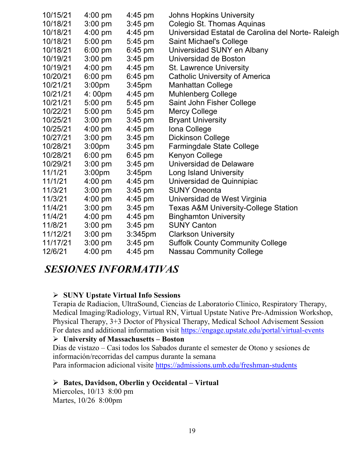| 10/15/21 | $4:00$ pm          | $4:45$ pm          | <b>Johns Hopkins University</b>                   |
|----------|--------------------|--------------------|---------------------------------------------------|
| 10/18/21 | $3:00$ pm          | $3:45$ pm          | Colegio St. Thomas Aquinas                        |
| 10/18/21 | $4:00$ pm          | $4:45$ pm          | Universidad Estatal de Carolina del Norte-Raleigh |
| 10/18/21 | $5:00$ pm          | 5:45 pm            | <b>Saint Michael's College</b>                    |
| 10/18/21 | $6:00$ pm          | $6:45$ pm          | Universidad SUNY en Albany                        |
| 10/19/21 | $3:00$ pm          | $3:45$ pm          | Universidad de Boston                             |
| 10/19/21 | $4:00$ pm          | $4:45$ pm          | <b>St. Lawrence University</b>                    |
| 10/20/21 | $6:00$ pm          | $6:45$ pm          | <b>Catholic University of America</b>             |
| 10/21/21 | 3:00 <sub>pm</sub> | 3:45 <sub>pm</sub> | <b>Manhattan College</b>                          |
| 10/21/21 | 4:00pm             | $4:45 \text{ pm}$  | <b>Muhlenberg College</b>                         |
| 10/21/21 | $5:00$ pm          | 5:45 pm            | Saint John Fisher College                         |
| 10/22/21 | $5:00$ pm          | 5:45 pm            | <b>Mercy College</b>                              |
| 10/25/21 | $3:00$ pm          | $3:45$ pm          | <b>Bryant University</b>                          |
| 10/25/21 | $4:00 \text{ pm}$  | $4:45$ pm          | Iona College                                      |
| 10/27/21 | $3:00$ pm          | $3:45$ pm          | Dickinson College                                 |
| 10/28/21 | 3:00 <sub>pm</sub> | $3:45$ pm          | <b>Farmingdale State College</b>                  |
| 10/28/21 | $6:00$ pm          | $6:45$ pm          | Kenyon College                                    |
| 10/29/21 | $3:00$ pm          | $3:45$ pm          | Universidad de Delaware                           |
| 11/1/21  | 3:00 <sub>pm</sub> | 3:45 <sub>pm</sub> | <b>Long Island University</b>                     |
| 11/1/21  | $4:00$ pm          | $4:45 \text{ pm}$  | Universidad de Quinnipiac                         |
| 11/3/21  | $3:00$ pm          | $3:45$ pm          | <b>SUNY Oneonta</b>                               |
| 11/3/21  | $4:00 \text{ pm}$  | $4:45 \text{ pm}$  | Universidad de West Virginia                      |
| 11/4/21  | $3:00$ pm          | $3:45$ pm          | <b>Texas A&amp;M University-College Station</b>   |
| 11/4/21  | $4:00 \text{ pm}$  | $4:45 \text{ pm}$  | <b>Binghamton University</b>                      |
| 11/8/21  | $3:00$ pm          | $3:45$ pm          | <b>SUNY Canton</b>                                |
| 11/12/21 | $3:00$ pm          | $3:345$ pm         | <b>Clarkson University</b>                        |
| 11/17/21 | $3:00$ pm          | $3:45$ pm          | <b>Suffolk County Community College</b>           |
| 12/6/21  | $4:00 \text{ pm}$  | $4:45 \text{ pm}$  | <b>Nassau Community College</b>                   |

# *SESIONES INFORMATIVAS*

#### **SUNY Upstate Virtual Info Sessions**

Terapia de Radiacion, UltraSound, Ciencias de Laboratorio Clinico, Respiratory Therapy, Medical Imaging/Radiology, Virtual RN, Virtual Upstate Native Pre-Admission Workshop, Physical Therapy, 3+3 Doctor of Physical Therapy, Medical School Advisement Session For dates and additional information visit<https://engage.upstate.edu/portal/virtual-events>

#### **University of Massachusetts – Boston**

Dias de vistazo – Casi todos los Sabados durante el semester de Otono y sesiones de información/recorridas del campus durante la semana

Para informacion adicional visite<https://admissions.umb.edu/freshman-students>

#### **Bates, Davidson, Oberlin y Occidental – Virtual**

Miercoles, 10/13 8:00 pm Martes, 10/26 8:00pm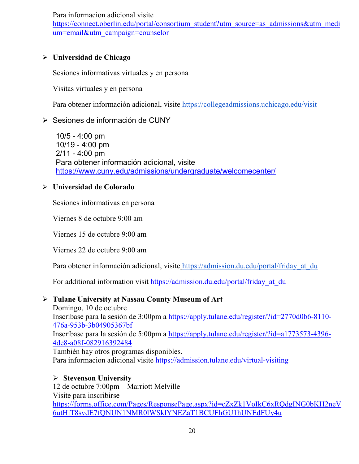Para informacion adicional visite

[https://connect.oberlin.edu/portal/consortium\\_student?utm\\_source=as\\_admissions&utm\\_medi](https://connect.oberlin.edu/portal/consortium_student?utm_source=as_admissions&utm_medium=email&utm_campaign=counselor) [um=email&utm\\_campaign=counselor](https://connect.oberlin.edu/portal/consortium_student?utm_source=as_admissions&utm_medium=email&utm_campaign=counselor)

# **Universidad de Chicago**

Sesiones informativas virtuales y en persona

Visitas virtuales y en persona

Para obtener información adicional, visite <https://collegeadmissions.uchicago.edu/visit>

### Sesiones de información de CUNY

10/5 - 4:00 pm 10/19 - 4:00 pm 2/11 - 4:00 pm Para obtener información adicional, visit[e](https://www.cuny.edu/admissions/undergraduate/welcomecenter/) <https://www.cuny.edu/admissions/undergraduate/welcomecenter/>

### **Universidad de Colorado**

Sesiones informativas en persona

Viernes 8 de octubre 9:00 am

Viernes 15 de octubre 9:00 am

Viernes 22 de octubre 9:00 am

Para obtener información adicional, visite https://admission.du.edu/portal/friday at du

For additional information visit https://admission.du.edu/portal/friday at du

# **Tulane University at Nassau County Museum of Art**

Domingo, 10 de octubre Inscríbase para la sesión de 3:00pm a [https://apply.tulane.edu/register/?id=2770d0b6-8110-](https://apply.tulane.edu/register/?id=2770d0b6-8110-476a-953b-3b04905367bf) [476a-953b-3b04905367bf](https://apply.tulane.edu/register/?id=2770d0b6-8110-476a-953b-3b04905367bf) Inscríbase para la sesión de 5:00pm a [https://apply.tulane.edu/register/?id=a1773573-4396-](https://apply.tulane.edu/register/?id=a1773573-4396-4de8-a08f-082916392484) [4de8-a08f-082916392484](https://apply.tulane.edu/register/?id=a1773573-4396-4de8-a08f-082916392484) También hay otros programas disponibles.

Para informacion adicional visite <https://admission.tulane.edu/virtual-visiting>

# **Stevenson University**

12 de octubre 7:00pm – Marriott Melville Visite para inscribirse [https://forms.office.com/Pages/ResponsePage.aspx?id=cZxZk1VoIkC6xRQdgING0bKH2neV](https://forms.office.com/Pages/ResponsePage.aspx?id=cZxZk1VoIkC6xRQdgING0bKH2neV6utHiT8svdE7fQNUN1NMR0lWSklYNEZaT1BCUFhGU1hUNEdFUy4u) [6utHiT8svdE7fQNUN1NMR0lWSklYNEZaT1BCUFhGU1hUNEdFUy4u](https://forms.office.com/Pages/ResponsePage.aspx?id=cZxZk1VoIkC6xRQdgING0bKH2neV6utHiT8svdE7fQNUN1NMR0lWSklYNEZaT1BCUFhGU1hUNEdFUy4u)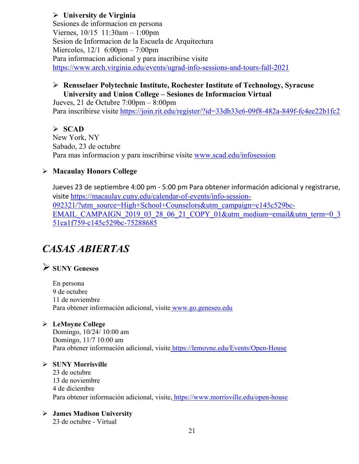### **University de Virginia**

Sesiones de informacion en persona Viernes, 10/15 11:30am – 1:00pm Sesion de Informacion de la Escuela de Arquitectura Miercoles, 12/1 6:00pm – 7:00pm Para informacion adicional y para inscribirse visite <https://www.arch.virginia.edu/events/ugrad-info-sessions-and-tours-fall-2021>

### **Rensselaer Polytechnic Institute, Rochester Institute of Technology, Syracuse University and Union College – Sesiones de Informacion Virtual**

Jueves, 21 de Octubre 7:00pm – 8:00pm Para inscribirse visite<https://join.rit.edu/register/?id=33db33e6-09f8-482a-849f-fc4ee22b1fc2>

### **SCAD**

New York, NY Sabado, 23 de octubre Para mas informacion y para inscribirse visite [www.scad.edu/infosession](http://www.scad.edu/infosession)

### **Macaulay Honors College**

Jueves 23 de septiembre 4:00 pm - 5:00 pm Para obtener información adicional y registrarse, visite [https://macaulay.cuny.edu/calendar-of-events/info-session-](https://macaulay.cuny.edu/calendar-of-events/info-session-092321/?utm_source=High+School+Counselors&utm_campaign=c145c529bc-EMAIL_CAMPAIGN_2019_03_28_06_21_COPY_01&utm_medium=email&utm_term=0_351ca1f759-c145c529bc-75288685)[092321/?utm\\_source=High+School+Counselors&utm\\_campaign=c145c529bc-](https://macaulay.cuny.edu/calendar-of-events/info-session-092321/?utm_source=High+School+Counselors&utm_campaign=c145c529bc-EMAIL_CAMPAIGN_2019_03_28_06_21_COPY_01&utm_medium=email&utm_term=0_351ca1f759-c145c529bc-75288685)[EMAIL\\_CAMPAIGN\\_2019\\_03\\_28\\_06\\_21\\_COPY\\_01&utm\\_medium=email&utm\\_term=0\\_3](https://macaulay.cuny.edu/calendar-of-events/info-session-092321/?utm_source=High+School+Counselors&utm_campaign=c145c529bc-EMAIL_CAMPAIGN_2019_03_28_06_21_COPY_01&utm_medium=email&utm_term=0_351ca1f759-c145c529bc-75288685) [51ca1f759-c145c529bc-75288685](https://macaulay.cuny.edu/calendar-of-events/info-session-092321/?utm_source=High+School+Counselors&utm_campaign=c145c529bc-EMAIL_CAMPAIGN_2019_03_28_06_21_COPY_01&utm_medium=email&utm_term=0_351ca1f759-c145c529bc-75288685)

# *CASAS ABIERTAS*

# **SUNY Geneseo**

En persona 9 de octubre 11 de noviembre Para obtener información adicional, visite [www.go.geneseo.edu](http://www.go.geneseo.edu/)

### **LeMoyne College**

Domingo, 10/24/ 10:00 am Domingo, 11/7 10:00 am Para obtener información adicional, visite <https://lemoyne.edu/Events/Open-House>

#### **SUNY Morrisville**

23 de octubre 13 de noviembre 4 de diciembre Para obtener información adicional, visite, <https://www.morrisville.edu/open-house>

#### **James Madison University**

23 de octubre - Virtual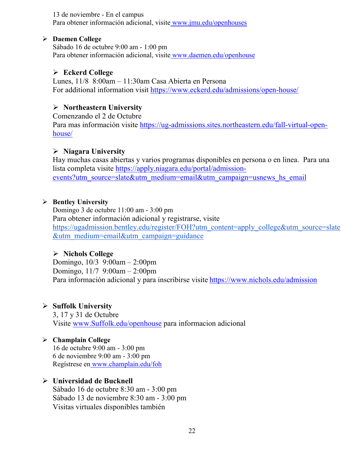13 de noviembre - En el campus Para obtener información adicional, visite [www.jmu.edu/openhouses](http://www.jmu.edu/openhouses)

#### **Daemen College**

Sábado 16 de octubre 9:00 am - 1:00 pm Para obtener información adicional, visite [www.daemen.edu/openhouse](http://www.daemen.edu/openhouse)

### **Eckerd College**

Lunes, 11/8 8:00am – 11:30am Casa Abierta en Persona For additional information visit<https://www.eckerd.edu/admissions/open-house/>

### **Northeastern University**

Comenzando el 2 de Octubre Para mas información visite [https://ug-admissions.sites.northeastern.edu/fall-virtual-open](https://ug-admissions.sites.northeastern.edu/fall-virtual-open-house/)[house/](https://ug-admissions.sites.northeastern.edu/fall-virtual-open-house/)

### **Niagara University**

Hay muchas casas abiertas y varios programas disponibles en persona o en linea. Para una lista completa visite [https://apply.niagara.edu/portal/admission](https://apply.niagara.edu/portal/admission-events?utm_source=slate&utm_medium=email&utm_campaign=usnews_hs_email)[events?utm\\_source=slate&utm\\_medium=email&utm\\_campaign=usnews\\_hs\\_email](https://apply.niagara.edu/portal/admission-events?utm_source=slate&utm_medium=email&utm_campaign=usnews_hs_email)

### **Bentley University**

Domingo 3 de octubre 11:00 am - 3:00 pm Para obtener información adicional y registrarse, visit[e](https://ugadmission.bentley.edu/register/FOH?utm_content=apply_college&utm_source=slate&utm_medium=email&utm_campaign=guidance) [https://ugadmission.bentley.edu/register/FOH?utm\\_content=apply\\_college&utm\\_source=slate](https://ugadmission.bentley.edu/register/FOH?utm_content=apply_college&utm_source=slate&utm_medium=email&utm_campaign=guidance) [&utm\\_medium=email&utm\\_campaign=guidance](https://ugadmission.bentley.edu/register/FOH?utm_content=apply_college&utm_source=slate&utm_medium=email&utm_campaign=guidance)

### **Nichols College**

Domingo, 10/3 9:00am – 2:00pm Domingo, 11/7 9:00am – 2:00pm Para información adicional y para inscribirse visite <https://www.nichols.edu/admission>

### **Suffolk University**

3, 17 y 31 de Octubre Visite [www.Suffolk.edu/openhouse](http://www.suffolk.edu/openhouse) para informacion adicional

### **Champlain College**

16 de octubre 9:00 am - 3:00 pm 6 de noviembre 9:00 am - 3:00 pm Regístrese en [www.champlain.edu/foh](http://www.champlain.edu/foh)

### **Universidad de Bucknell**

Sábado 16 de octubre 8:30 am - 3:00 pm Sábado 13 de noviembre 8:30 am - 3:00 pm Visitas virtuales disponibles también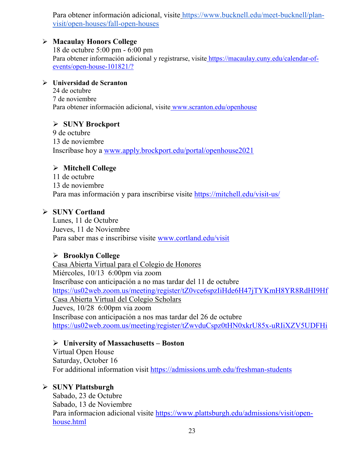Para obtener información adicional, visite [https://www.bucknell.edu/meet-bucknell/plan](https://www.bucknell.edu/meet-bucknell/plan-visit/open-houses/fall-open-houses)[visit/open-houses/fall-open-houses](https://www.bucknell.edu/meet-bucknell/plan-visit/open-houses/fall-open-houses)

### **Macaulay Honors College**

18 de octubre 5:00 pm - 6:00 pm Para obtener información adicional y registrarse, visite [https://macaulay.cuny.edu/calendar-of](https://macaulay.cuny.edu/calendar-of-events/open-house-101821/?)[events/open-house-101821/?](https://macaulay.cuny.edu/calendar-of-events/open-house-101821/?)

### **Universidad de Scranton**

24 de octubre 7 de noviembre Para obtener información adicional, visite [www.scranton.edu/openhouse](http://www.scranton.edu/openhouse)

### **SUNY Brockport**

9 de octubre 13 de noviembre Inscríbase hoy a [www.apply.brockport.edu/portal/openhouse2021](http://www.apply.brockport.edu/portal/openhouse2021)

### **Mitchell College**

11 de octubre 13 de noviembre Para mas información y para inscribirse visite<https://mitchell.edu/visit-us/>

### **SUNY Cortland**

Lunes, 11 de Octubre Jueves, 11 de Noviembre Para saber mas e inscribirse visite [www.cortland.edu/visit](http://www.cortland.edu/visit)

### **Brooklyn College**

Casa Abierta Virtual para el Colegio de Honores Miércoles, 10/13 6:00pm via zoom Inscríbase con anticipación a no mas tardar del 11 de octubre <https://us02web.zoom.us/meeting/register/tZ0vce6spzIiHde6H47jTYKmH8YR8RdHI9Hf> Casa Abierta Virtual del Colegio Scholars Jueves, 10/28 6:00pm via zoom Inscríbase con anticipación a nos mas tardar del 26 de octubre <https://us02web.zoom.us/meeting/register/tZwvduCspz0tHN0xkrU85x-uRIiXZV5UDFHi>

### **University of Massachusetts – Boston**

Virtual Open House Saturday, October 16 For additional information visit<https://admissions.umb.edu/freshman-students>

### **SUNY Plattsburgh**

Sabado, 23 de Octubre Sabado, 13 de Noviembre Para informacion adicional visite [https://www.plattsburgh.edu/admissions/visit/open](https://www.plattsburgh.edu/admissions/visit/open-house.html)[house.html](https://www.plattsburgh.edu/admissions/visit/open-house.html)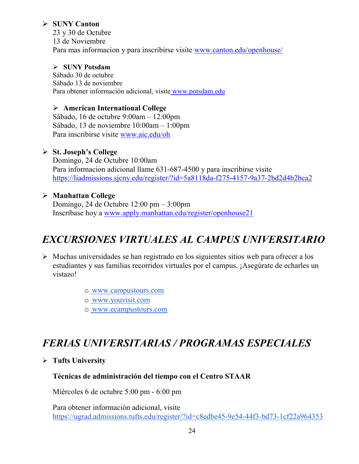### **SUNY Canton**

23 y 30 de Octubre 13 de Noviembre Para mas informacion y para inscribirse visite [www.canton.edu/openhouse/](http://www.canton.edu/openhouse/)

### **SUNY Potsdam**

Sábado 30 de octubre Sábado 13 de noviembre Para obtener información adicional, visite [www.potsdam.edu](http://www.potsdam.edu/)

### **American International College**

Sábado, 16 de octubre 9:00am – 12:00pm Sábado, 13 de noviembre 10:00am – 1:00pm Para inscribirse visite [www.aic.edu/oh](http://www.aic.edu/oh)

### **St. Joseph's College**

Domingo, 24 de Octubre 10:00am Para informacion adicional llame 631-687-4500 y para inscribirse visite <https://liadmissions.sjcny.edu/register/?id=5a8118da-f275-4157-9a37-2bd2d4b2bca2>

### **Manhattan College**

Domingo, 24 de Octubre 12:00 pm – 3:00pm Inscríbase hoy a [www.apply.manhattan.edu/register/openhouse21](http://www.apply.manhattan.edu/register/openhouse21) 

# *EXCURSIONES VIRTUALES AL CAMPUS UNIVERSITARIO*

- $\triangleright$  Muchas universidades se han registrado en los siguientes sitios web para ofrecer a los estudiantes y sus familias recorridos virtuales por el campus. ¡Asegúrate de echarles un vistazo!
	- o [www.campustours.com](http://www.campustours.com/)
	- o [www.youvisit.com](http://www.youvisit.com/)
	- o [www.ecampustours.com](http://www.ecampustours.com/)

# *FERIAS UNIVERSITARIAS / PROGRAMAS ESPECIALES*

**Tufts University**

### **Técnicas de administración del tiempo con el Centro STAAR**

Miércoles 6 de octubre 5:00 pm - 6:00 pm

Para obtener información adicional, visit[e](https://ugrad.admissions.tufts.edu/register/?id=c8edbe45-9e54-44f3-bd73-1cf22a964353) <https://ugrad.admissions.tufts.edu/register/?id=c8edbe45-9e54-44f3-bd73-1cf22a964353>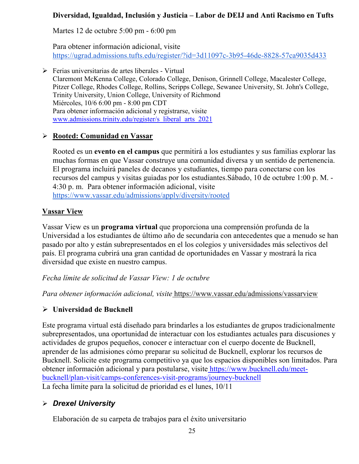### **Diversidad, Igualdad, Inclusión y Justicia – Labor de DEIJ and Anti Racismo en Tufts**

Martes 12 de octubre 5:00 pm - 6:00 pm

Para obtener información adicional, visit[e](https://ugrad.admissions.tufts.edu/register/?id=3d11097c-3b95-46de-8828-57ca9035d433) <https://ugrad.admissions.tufts.edu/register/?id=3d11097c-3b95-46de-8828-57ca9035d433>

 $\triangleright$  Ferias universitarias de artes liberales - Virtual Claremont McKenna College, Colorado College, Denison, Grinnell College, Macalester College, Pitzer College, Rhodes College, Rollins, Scripps College, Sewanee University, St. John's College, Trinity University, Union College, University of Richmond Miércoles, 10/6 6:00 pm - 8:00 pm CDT Para obtener información adicional y registrarse, visite www.admissions.trinity.edu/register/s\_liberal\_arts\_2021

### **Rooted: Comunidad en Vassar**

Rooted es un **evento en el campus** que permitirá a los estudiantes y sus familias explorar las muchas formas en que Vassar construye una comunidad diversa y un sentido de pertenencia. El programa incluirá paneles de decanos y estudiantes, tiempo para conectarse con los recursos del campus y visitas guiadas por los estudiantes.Sábado, 10 de octubre 1:00 p. M. - 4:30 p. m. Para obtener información adicional, visit[e](https://www.vassar.edu/admissions/apply/diversity/rooted) <https://www.vassar.edu/admissions/apply/diversity/rooted>

### **Vassar View**

Vassar View es un **programa virtual** que proporciona una comprensión profunda de la Universidad a los estudiantes de último año de secundaria con antecedentes que a menudo se han pasado por alto y están subrepresentados en el los colegios y universidades más selectivos del país. El programa cubrirá una gran cantidad de oportunidades en Vassar y mostrará la rica diversidad que existe en nuestro campus.

*Fecha límite de solicitud de Vassar View: 1 de octubre*

*Para obtener información adicional, visite* <https://www.vassar.edu/admissions/vassarview>

### **Universidad de Bucknell**

Este programa virtual está diseñado para brindarles a los estudiantes de grupos tradicionalmente subrepresentados, una oportunidad de interactuar con los estudiantes actuales para discusiones y actividades de grupos pequeños, conocer e interactuar con el cuerpo docente de Bucknell, aprender de las admisiones cómo preparar su solicitud de Bucknell, explorar los recursos de Bucknell. Solicite este programa competitivo ya que los espacios disponibles son limitados. Para obtener información adicional y para postularse, visite [https://www.bucknell.edu/meet](https://www.bucknell.edu/meet-bucknell/plan-visit/camps-conferences-visit-programs/journey-bucknell)[bucknell/plan-visit/camps-conferences-visit-programs/journey-bucknell](https://www.bucknell.edu/meet-bucknell/plan-visit/camps-conferences-visit-programs/journey-bucknell) La fecha límite para la solicitud de prioridad es el lunes, 10/11

# *Drexel University*

Elaboración de su carpeta de trabajos para el éxito universitario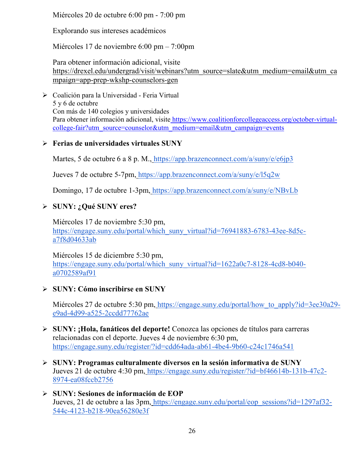Miércoles 20 de octubre 6:00 pm - 7:00 pm

Explorando sus intereses académicos

Miércoles 17 de noviembre 6:00 pm – 7:00pm

Para obtener información adicional, visit[e](https://drexel.edu/undergrad/visit/webinars?utm_source=slate&utm_medium=email&utm_campaign=app-prep-wkshp-counselors-gen) [https://drexel.edu/undergrad/visit/webinars?utm\\_source=slate&utm\\_medium=email&utm\\_ca](https://drexel.edu/undergrad/visit/webinars?utm_source=slate&utm_medium=email&utm_campaign=app-prep-wkshp-counselors-gen) [mpaign=app-prep-wkshp-counselors-gen](https://drexel.edu/undergrad/visit/webinars?utm_source=slate&utm_medium=email&utm_campaign=app-prep-wkshp-counselors-gen)

 Coalición para la Universidad - Feria Virtual 5 y 6 de octubre Con más de 140 colegios y universidades Para obtener información adicional, visite [https://www.coalitionforcollegeaccess.org/october-virtual](https://www.coalitionforcollegeaccess.org/october-virtual-college-fair?utm_source=counselor&utm_medium=email&utm_campaign=events)[college-fair?utm\\_source=counselor&utm\\_medium=email&utm\\_campaign=events](https://www.coalitionforcollegeaccess.org/october-virtual-college-fair?utm_source=counselor&utm_medium=email&utm_campaign=events)

# **Ferias de universidades virtuales SUNY**

Martes, 5 de octubre 6 a 8 p. M., <https://app.brazenconnect.com/a/suny/e/e6jp3>

Jueves 7 de octubre 5-7pm, <https://app.brazenconnect.com/a/suny/e/l5q2w>

Domingo, 17 de octubre 1-3pm, <https://app.brazenconnect.com/a/suny/e/NBvLb>

# **SUNY: ¿Qué SUNY eres?**

Miércoles 17 de noviembre 5:30 pm[,](https://engage.suny.edu/portal/which_suny_virtual?id=76941883-6783-43ee-8d5c-a7f8d04633ab) [https://engage.suny.edu/portal/which\\_suny\\_virtual?id=76941883-6783-43ee-8d5c](https://engage.suny.edu/portal/which_suny_virtual?id=76941883-6783-43ee-8d5c-a7f8d04633ab)[a7f8d04633ab](https://engage.suny.edu/portal/which_suny_virtual?id=76941883-6783-43ee-8d5c-a7f8d04633ab)

Miércoles 15 de diciembre 5:30 pm[,](https://engage.suny.edu/portal/which_suny_virtual?id=1622a0c7-8128-4cd8-b040-a0702589af91) [https://engage.suny.edu/portal/which\\_suny\\_virtual?id=1622a0c7-8128-4cd8-b040](https://engage.suny.edu/portal/which_suny_virtual?id=1622a0c7-8128-4cd8-b040-a0702589af91) [a0702589af91](https://engage.suny.edu/portal/which_suny_virtual?id=1622a0c7-8128-4cd8-b040-a0702589af91)

# **SUNY: Cómo inscribirse en SUNY**

Miércoles 27 de octubre 5:30 pm, https://engage.suny.edu/portal/how to apply?id=3ee30a29[e9ad-4d99-a525-2ccdd77762ae](https://engage.suny.edu/portal/how_to_apply?id=3ee30a29-e9ad-4d99-a525-2ccdd77762ae)

- **SUNY: ¡Hola, fanáticos del deporte!** Conozca las opciones de títulos para carreras relacionadas con el deporte. Jueves 4 de noviembre 6:30 pm[,](https://engage.suny.edu/register/?id=cdd64ada-ab61-4be4-9b60-c24c1746a541) <https://engage.suny.edu/register/?id=cdd64ada-ab61-4be4-9b60-c24c1746a541>
- **SUNY: Programas culturalmente diversos en la sesión informativa de SUNY** Jueves 21 de octubre 4:30 pm, [https://engage.suny.edu/register/?id=bf46614b-131b-47c2-](https://engage.suny.edu/register/?id=bf46614b-131b-47c2-8974-ea08fccb2756) [8974-ea08fccb2756](https://engage.suny.edu/register/?id=bf46614b-131b-47c2-8974-ea08fccb2756)
- **SUNY: Sesiones de información de EOP** Jueves, 21 de octubre a las 3pm, [https://engage.suny.edu/portal/eop\\_sessions?id=1297af32-](https://engage.suny.edu/portal/eop_sessions?id=1297af32-544c-4123-b218-90ea56280e3f) [544c-4123-b218-90ea56280e3f](https://engage.suny.edu/portal/eop_sessions?id=1297af32-544c-4123-b218-90ea56280e3f)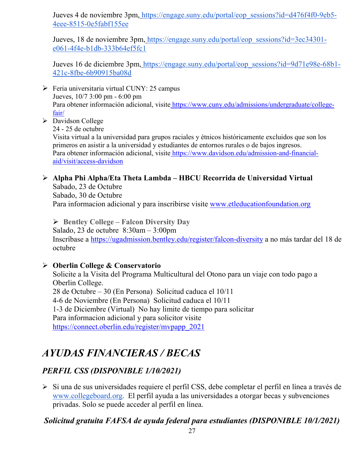Jueves 4 de noviembre 3pm, [https://engage.suny.edu/portal/eop\\_sessions?id=d476f4f0-9eb5-](https://engage.suny.edu/portal/eop_sessions?id=d476f4f0-9eb5-4eee-8515-0e5fabf155ee) [4eee-8515-0e5fabf155ee](https://engage.suny.edu/portal/eop_sessions?id=d476f4f0-9eb5-4eee-8515-0e5fabf155ee)

Jueves, 18 de noviembre 3pm, [https://engage.suny.edu/portal/eop\\_sessions?id=3ec34301](https://engage.suny.edu/portal/eop_sessions?id=3ec34301-e061-4f4e-b1db-333b64ef5fc1) [e061-4f4e-b1db-333b64ef5fc1](https://engage.suny.edu/portal/eop_sessions?id=3ec34301-e061-4f4e-b1db-333b64ef5fc1)

Jueves 16 de diciembre 3pm, [https://engage.suny.edu/portal/eop\\_sessions?id=9d71e98e-68b1-](https://engage.suny.edu/portal/eop_sessions?id=9d71e98e-68b1-421c-8fbe-6b90915ba08d) [421c-8fbe-6b90915ba08d](https://engage.suny.edu/portal/eop_sessions?id=9d71e98e-68b1-421c-8fbe-6b90915ba08d)

- $\triangleright$  Feria universitaria virtual CUNY: 25 campus Jueves, 10/7 3:00 pm - 6:00 pm Para obtener información adicional, visite [https://www.cuny.edu/admissions/undergraduate/college](https://www.cuny.edu/admissions/undergraduate/college-fair/)[fair/](https://www.cuny.edu/admissions/undergraduate/college-fair/)
- > Davidson College

24 - 25 de octubre

Visita virtual a la universidad para grupos raciales y étnicos históricamente excluidos que son los primeros en asistir a la universidad y estudiantes de entornos rurales o de bajos ingresos. Para obtener información adicional, visite [https://www.davidson.edu/admission-and-financial](https://www.davidson.edu/admission-and-financial-aid/visit/access-davidson)[aid/visit/access-davidson](https://www.davidson.edu/admission-and-financial-aid/visit/access-davidson)

#### **Alpha Phi Alpha/Eta Theta Lambda – HBCU Recorrida de Universidad Virtual** Sabado, 23 de Octubre

Sabado, 30 de Octubre Para informacion adicional y para inscribirse visite [www.etleducationfoundation.org](http://www.etleducationfoundation.org/)

 **Bentley College – Falcon Diversity Day** Salado, 23 de octubre 8:30am – 3:00pm Inscríbase a<https://ugadmission.bentley.edu/register/falcon-diversity> a no más tardar del 18 de octubre

### **Oberlin College & Conservatorio**

Solicite a la Visita del Programa Multicultural del Otono para un viaje con todo pago a Oberlin College. 28 de Octubre – 30 (En Persona) Solicitud caduca el 10/11 4-6 de Noviembre (En Persona) Solicitud caduca el 10/11 1-3 de Diciembre (Virtual) No hay limite de tiempo para solicitar Para informacion adicional y para solicitor visite [https://connect.oberlin.edu/register/mvpapp\\_2021](https://connect.oberlin.edu/register/mvpapp_2021)

# *AYUDAS FINANCIERAS / BECAS*

# *PERFIL CSS (DISPONIBLE 1/10/2021)*

 Si una de sus universidades requiere el perfil CSS, debe completar el perfil en línea a través d[e](http://www.collegeboard.org/) [www.collegeboard.org](http://www.collegeboard.org/). El perfil ayuda a las universidades a otorgar becas y subvenciones privadas. Solo se puede acceder al perfil en línea.

# *Solicitud gratuita FAFSA de ayuda federal para estudiantes (DISPONIBLE 10/1/2021)*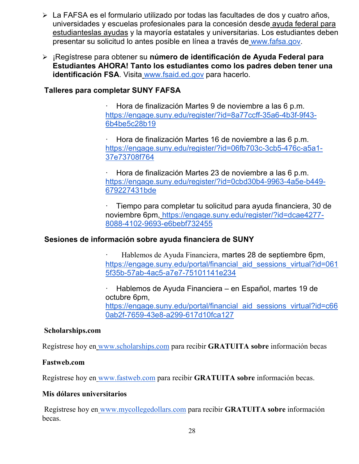- La FAFSA es el formulario utilizado por todas las facultades de dos y cuatro años, universidades y escuelas profesionales para la concesión desde [ayuda federal para](http://studentaid.ed.gov/students/publications/student_guide/2010-2011/english/typesofFSA_grants.htm)  [estudianteslas ayudas](http://studentaid.ed.gov/students/publications/student_guide/2010-2011/english/typesofFSA_grants.htm) y la mayoría estatales y universitarias. Los estudiantes deben presentar su solicitud lo antes posible en línea a través de [www.fafsa.gov.](http://www.fafsa.gov/)
- ¡Regístrese para obtener su **número de identificación de Ayuda Federal para Estudiantes AHORA! Tanto los estudiantes como los padres deben tener una identificación FSA**. Visita [www.fsaid.ed.gov](http://www.fsaid.ed.gov/) para hacerlo.

### **Talleres para completar SUNY FAFSA**

· Hora de finalización Martes 9 de noviembre a las 6 p.m[.](https://engage.suny.edu/register/?id=8a77ccff-35a6-4b3f-9f43-6b4be5c28b19) [https://engage.suny.edu/register/?id=8a77ccff-35a6-4b3f-9f43-](https://engage.suny.edu/register/?id=8a77ccff-35a6-4b3f-9f43-6b4be5c28b19) [6b4be5c28b19](https://engage.suny.edu/register/?id=8a77ccff-35a6-4b3f-9f43-6b4be5c28b19)

· Hora de finalización Martes 16 de noviembre a las 6 p.m[.](https://engage.suny.edu/register/?id=06fb703c-3cb5-476c-a5a1-37e73708f764) [https://engage.suny.edu/register/?id=06fb703c-3cb5-476c-a5a1-](https://engage.suny.edu/register/?id=06fb703c-3cb5-476c-a5a1-37e73708f764) [37e73708f764](https://engage.suny.edu/register/?id=06fb703c-3cb5-476c-a5a1-37e73708f764)

· Hora de finalización Martes 23 de noviembre a las 6 p.m[.](https://engage.suny.edu/register/?id=0cbd30b4-9963-4a5e-b449-679227431bde) [https://engage.suny.edu/register/?id=0cbd30b4-9963-4a5e-b449-](https://engage.suny.edu/register/?id=0cbd30b4-9963-4a5e-b449-679227431bde) [679227431bde](https://engage.suny.edu/register/?id=0cbd30b4-9963-4a5e-b449-679227431bde)

· Tiempo para completar tu solicitud para ayuda financiera, 30 de noviembre 6pm, [https://engage.suny.edu/register/?id=dcae4277-](https://engage.suny.edu/register/?id=dcae4277-8088-4102-9693-e6bebf732455) [8088-4102-9693-e6bebf732455](https://engage.suny.edu/register/?id=dcae4277-8088-4102-9693-e6bebf732455)

### **Sesiones de información sobre ayuda financiera de SUNY**

· Hablemos de Ayuda Financiera, martes 28 de septiembre 6pm[,](https://engage.suny.edu/portal/financial_aid_sessions_virtual?id=0615f35b-57ab-4ac5-a7e7-75101141e234) https://engage.suny.edu/portal/financial aid sessions virtual?id=061 [5f35b-57ab-4ac5-a7e7-75101141e234](https://engage.suny.edu/portal/financial_aid_sessions_virtual?id=0615f35b-57ab-4ac5-a7e7-75101141e234)

· Hablemos de Ayuda Financiera – en Español, martes 19 de octubre 6pm[,](https://engage.suny.edu/portal/financial_aid_sessions_virtual?id=c660ab2f-7659-43e8-a299-617d10fca127) https://engage.suny.edu/portal/financial aid sessions virtual?id=c66 [0ab2f-7659-43e8-a299-617d10fca127](https://engage.suny.edu/portal/financial_aid_sessions_virtual?id=c660ab2f-7659-43e8-a299-617d10fca127)

### **Scholarships.com**

Regístrese hoy en [www.scholarships.com](http://www.scholarships.com/) para recibir **GRATUITA sobre** información becas

#### **Fastweb.com**

Regístrese hoy en [www.fastweb.com](http://www.fastweb.com/) para recibir **GRATUITA sobre** información becas.

#### **Mis dólares universitarios**

Regístrese hoy en [www.mycollegedollars.com](http://www.mycollegedollars.com/) para recibir **GRATUITA sobre** información becas.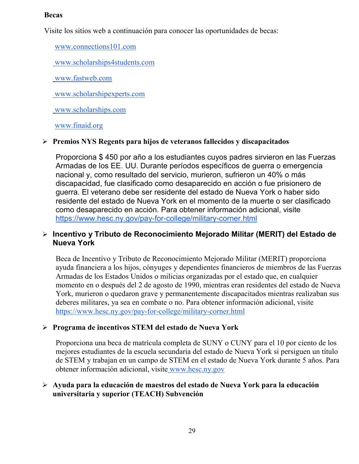### **Becas**

Visite los sitios web a continuación para conocer las oportunidades de becas:

[www.connections101.com](http://www.connections101.com/)

[www.scholarships4students.com](http://www.scholarships4students.com/)

[www.fastweb.com](http://www.fastweb.com/)

[www.scholarshipexperts.com](http://www.scholarshipexperts.com/)

[www.scholarships.com](http://www.scholarships.com/)

[www.finaid.org](http://www.finaid.org/)

### **Premios NYS Regents para hijos de veteranos fallecidos y discapacitados**

Proporciona \$ 450 por año a los estudiantes cuyos padres sirvieron en las Fuerzas Armadas de los EE. UU. Durante períodos específicos de guerra o emergencia nacional y, como resultado del servicio, murieron, sufrieron un 40% o más discapacidad, fue clasificado como desaparecido en acción o fue prisionero de guerra. El veterano debe ser residente del estado de Nueva York o haber sido residente del estado de Nueva York en el momento de la muerte o ser clasificado como desaparecido en acción. Para obtener información adicional, visit[e](https://www.hesc.ny.gov/pay-for-college/military-corner.html) <https://www.hesc.ny.gov/pay-for-college/military-corner.html>

### **Incentivo y Tributo de Reconocimiento Mejorado Militar (MERIT) del Estado de Nueva York**

Beca de Incentivo y Tributo de Reconocimiento Mejorado Militar (MERIT) proporciona ayuda financiera a los hijos, cónyuges y dependientes financieros de miembros de las Fuerzas Armadas de los Estados Unidos o milicias organizadas por el estado que, en cualquier momento en o después del 2 de agosto de 1990, mientras eran residentes del estado de Nueva York, murieron o quedaron grave y permanentemente discapacitados mientras realizaban sus deberes militares, ya sea en combate o no. Para obtener información adicional, visit[e](https://www.hesc.ny.gov/pay-for-college/military-corner.html) <https://www.hesc.ny.gov/pay-for-college/military-corner.html>

### **Programa de incentivos STEM del estado de Nueva York**

Proporciona una beca de matrícula completa de SUNY o CUNY para el 10 por ciento de los mejores estudiantes de la escuela secundaria del estado de Nueva York si persiguen un título de STEM y trabajan en un campo de STEM en el estado de Nueva York durante 5 años. Para obtener información adicional, visite [www.hesc.ny.gov](http://www.hesc.ny.gov/)

### **Ayuda para la educación de maestros del estado de Nueva York para la educación universitaria y superior (TEACH) Subvención**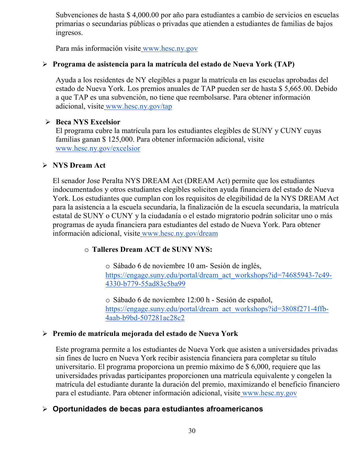Subvenciones de hasta \$ 4,000.00 por año para estudiantes a cambio de servicios en escuelas primarias o secundarias públicas o privadas que atienden a estudiantes de familias de bajos ingresos.

Para más información visite [www.hesc.ny.gov](http://www.hesc.ny.gov/) 

### **Programa de asistencia para la matrícula del estado de Nueva York (TAP)**

Ayuda a los residentes de NY elegibles a pagar la matrícula en las escuelas aprobadas del estado de Nueva York. Los premios anuales de TAP pueden ser de hasta \$ 5,665.00. Debido a que TAP es una subvención, no tiene que reembolsarse. Para obtener información adicional, visite [www.hesc.ny.gov/tap](http://www.hesc.ny.gov/tap)

### **Beca NYS Excelsior**

El programa cubre la matrícula para los estudiantes elegibles de SUNY y CUNY cuyas familias ganan \$ 125,000. Para obtener información adicional, visit[e](http://www.hesc.ny.gov/) [www.hesc.ny.gov/](http://www.hesc.ny.gov/)excelsior

### **NYS Dream Act**

El senador Jose Peralta NYS DREAM Act (DREAM Act) permite que los estudiantes indocumentados y otros estudiantes elegibles soliciten ayuda financiera del estado de Nueva York. Los estudiantes que cumplan con los requisitos de elegibilidad de la NYS DREAM Act para la asistencia a la escuela secundaria, la finalización de la escuela secundaria, la matrícula estatal de SUNY o CUNY y la ciudadanía o el estado migratorio podrán solicitar uno o más programas de ayuda financiera para estudiantes del estado de Nueva York. Para obtener información adicional, visite [www.hesc.ny.gov/dream](http://www.hesc.ny.gov/dream)

### o **Talleres Dream ACT de SUNY NYS:**

o Sábado 6 de noviembre 10 am- Sesión de inglés[,](https://engage.suny.edu/portal/dream_act_workshops?id=74685943-7c49-4330-b779-55ad83c5ba99) [https://engage.suny.edu/portal/dream\\_act\\_workshops?id=74685943-7c49-](https://engage.suny.edu/portal/dream_act_workshops?id=74685943-7c49-4330-b779-55ad83c5ba99) [4330-b779-55ad83c5ba99](https://engage.suny.edu/portal/dream_act_workshops?id=74685943-7c49-4330-b779-55ad83c5ba99)

o Sábado 6 de noviembre 12:00 h - Sesión de español[,](https://engage.suny.edu/portal/dream_act_workshops?id=3808f271-4ffb-4aab-b9bd-507281ac28c2) [https://engage.suny.edu/portal/dream\\_act\\_workshops?id=3808f271-4ffb-](https://engage.suny.edu/portal/dream_act_workshops?id=3808f271-4ffb-4aab-b9bd-507281ac28c2)[4aab-b9bd-507281ac28c2](https://engage.suny.edu/portal/dream_act_workshops?id=3808f271-4ffb-4aab-b9bd-507281ac28c2)

### **Premio de matrícula mejorada del estado de Nueva York**

Este programa permite a los estudiantes de Nueva York que asisten a universidades privadas sin fines de lucro en Nueva York recibir asistencia financiera para completar su título universitario. El programa proporciona un premio máximo de \$ 6,000, requiere que las universidades privadas participantes proporcionen una matrícula equivalente y congelen la matrícula del estudiante durante la duración del premio, maximizando el beneficio financiero para el estudiante. Para obtener información adicional, visite [www.hesc.ny.gov](http://www.hesc.ny.gov/)

# **Oportunidades de becas para estudiantes afroamericanos**